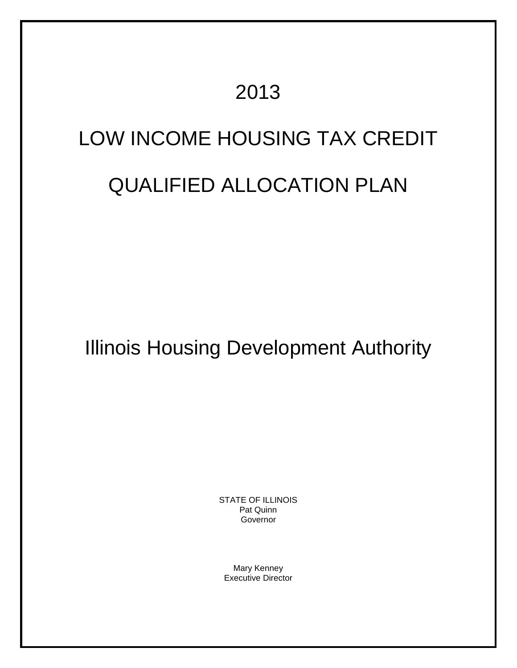# 2013

# LOW INCOME HOUSING TAX CREDIT

# QUALIFIED ALLOCATION PLAN

Illinois Housing Development Authority

STATE OF ILLINOIS Pat Quinn Governor

Mary Kenney Executive Director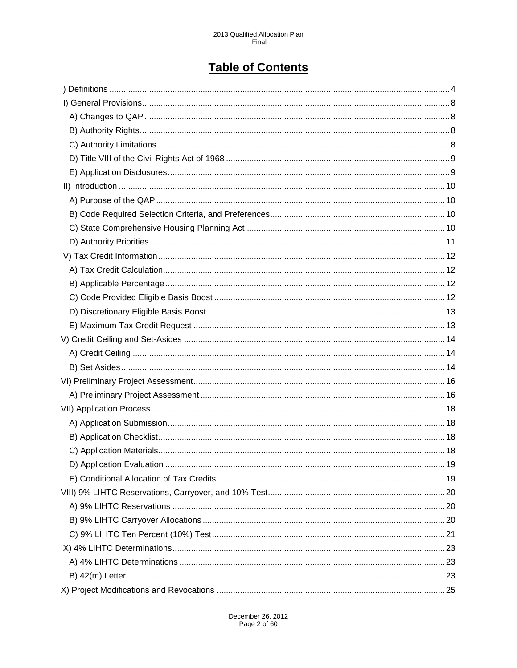# **Table of Contents**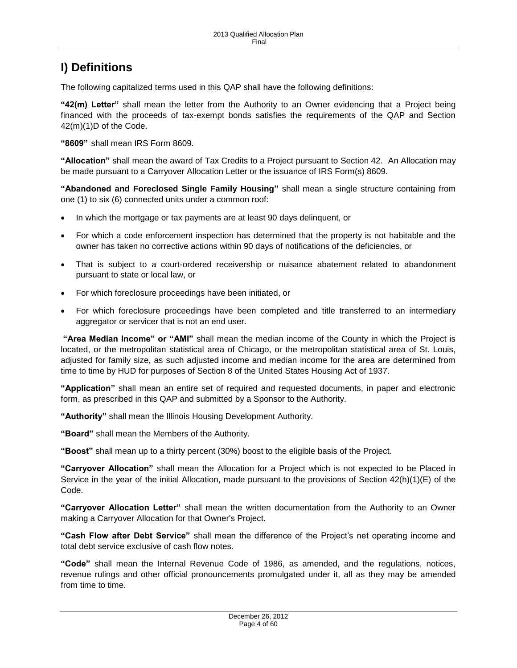# <span id="page-3-0"></span>**I) Definitions**

The following capitalized terms used in this QAP shall have the following definitions:

**"42(m) Letter"** shall mean the letter from the Authority to an Owner evidencing that a Project being financed with the proceeds of tax-exempt bonds satisfies the requirements of the QAP and Section 42(m)(1)D of the Code.

**"8609"** shall mean IRS Form 8609.

**"Allocation"** shall mean the award of Tax Credits to a Project pursuant to Section 42. An Allocation may be made pursuant to a Carryover Allocation Letter or the issuance of IRS Form(s) 8609.

**"Abandoned and Foreclosed Single Family Housing"** shall mean a single structure containing from one (1) to six (6) connected units under a common roof:

- In which the mortgage or tax payments are at least 90 days delinquent, or
- For which a code enforcement inspection has determined that the property is not habitable and the owner has taken no corrective actions within 90 days of notifications of the deficiencies, or
- That is subject to a court-ordered receivership or nuisance abatement related to abandonment pursuant to state or local law, or
- For which foreclosure proceedings have been initiated, or
- For which foreclosure proceedings have been completed and title transferred to an intermediary aggregator or servicer that is not an end user.

**"Area Median Income" or "AMI"** shall mean the median income of the County in which the Project is located, or the metropolitan statistical area of Chicago, or the metropolitan statistical area of St. Louis, adjusted for family size, as such adjusted income and median income for the area are determined from time to time by HUD for purposes of Section 8 of the United States Housing Act of 1937.

**"Application"** shall mean an entire set of required and requested documents, in paper and electronic form, as prescribed in this QAP and submitted by a Sponsor to the Authority.

**"Authority"** shall mean the Illinois Housing Development Authority.

**"Board"** shall mean the Members of the Authority.

**"Boost"** shall mean up to a thirty percent (30%) boost to the eligible basis of the Project.

**"Carryover Allocation"** shall mean the Allocation for a Project which is not expected to be Placed in Service in the year of the initial Allocation, made pursuant to the provisions of Section 42(h)(1)(E) of the Code.

**"Carryover Allocation Letter"** shall mean the written documentation from the Authority to an Owner making a Carryover Allocation for that Owner's Project.

**"Cash Flow after Debt Service"** shall mean the difference of the Project's net operating income and total debt service exclusive of cash flow notes.

**"Code"** shall mean the Internal Revenue Code of 1986, as amended, and the regulations, notices, revenue rulings and other official pronouncements promulgated under it, all as they may be amended from time to time.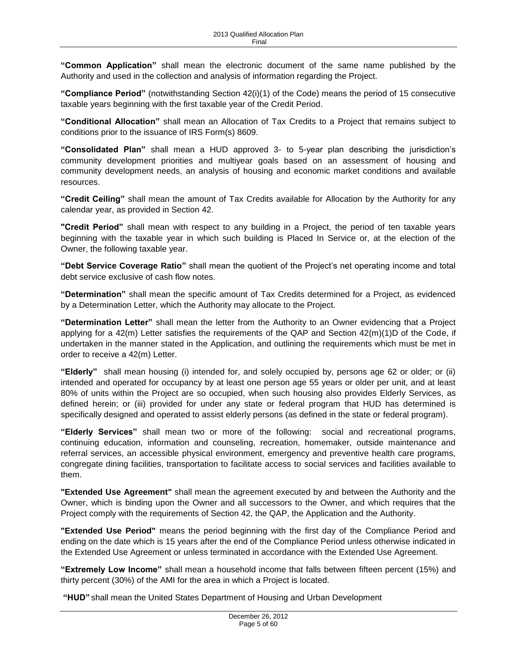**"Common Application"** shall mean the electronic document of the same name published by the Authority and used in the collection and analysis of information regarding the Project.

**"Compliance Period"** (notwithstanding Section 42(i)(1) of the Code) means the period of 15 consecutive taxable years beginning with the first taxable year of the Credit Period.

**"Conditional Allocation"** shall mean an Allocation of Tax Credits to a Project that remains subject to conditions prior to the issuance of IRS Form(s) 8609.

**"Consolidated Plan"** shall mean a HUD approved 3- to 5-year plan describing the jurisdiction's community development priorities and multiyear goals based on an assessment of housing and community development needs, an analysis of housing and economic market conditions and available resources.

**"Credit Ceiling"** shall mean the amount of Tax Credits available for Allocation by the Authority for any calendar year, as provided in Section 42.

**"Credit Period"** shall mean with respect to any building in a Project, the period of ten taxable years beginning with the taxable year in which such building is Placed In Service or, at the election of the Owner, the following taxable year.

**"Debt Service Coverage Ratio"** shall mean the quotient of the Project's net operating income and total debt service exclusive of cash flow notes.

**"Determination"** shall mean the specific amount of Tax Credits determined for a Project, as evidenced by a Determination Letter, which the Authority may allocate to the Project.

**"Determination Letter"** shall mean the letter from the Authority to an Owner evidencing that a Project applying for a 42(m) Letter satisfies the requirements of the QAP and Section 42(m)(1)D of the Code, if undertaken in the manner stated in the Application, and outlining the requirements which must be met in order to receive a 42(m) Letter.

**"Elderly"** shall mean housing (i) intended for, and solely occupied by, persons age 62 or older; or (ii) intended and operated for occupancy by at least one person age 55 years or older per unit, and at least 80% of units within the Project are so occupied, when such housing also provides Elderly Services, as defined herein; or (iii) provided for under any state or federal program that HUD has determined is specifically designed and operated to assist elderly persons (as defined in the state or federal program).

**"Elderly Services"** shall mean two or more of the following: social and recreational programs, continuing education, information and counseling, recreation, homemaker, outside maintenance and referral services, an accessible physical environment, emergency and preventive health care programs, congregate dining facilities, transportation to facilitate access to social services and facilities available to them.

**"Extended Use Agreement"** shall mean the agreement executed by and between the Authority and the Owner, which is binding upon the Owner and all successors to the Owner, and which requires that the Project comply with the requirements of Section 42, the QAP, the Application and the Authority.

**"Extended Use Period"** means the period beginning with the first day of the Compliance Period and ending on the date which is 15 years after the end of the Compliance Period unless otherwise indicated in the Extended Use Agreement or unless terminated in accordance with the Extended Use Agreement.

**"Extremely Low Income"** shall mean a household income that falls between fifteen percent (15%) and thirty percent (30%) of the AMI for the area in which a Project is located.

**"HUD"** shall mean the United States Department of Housing and Urban Development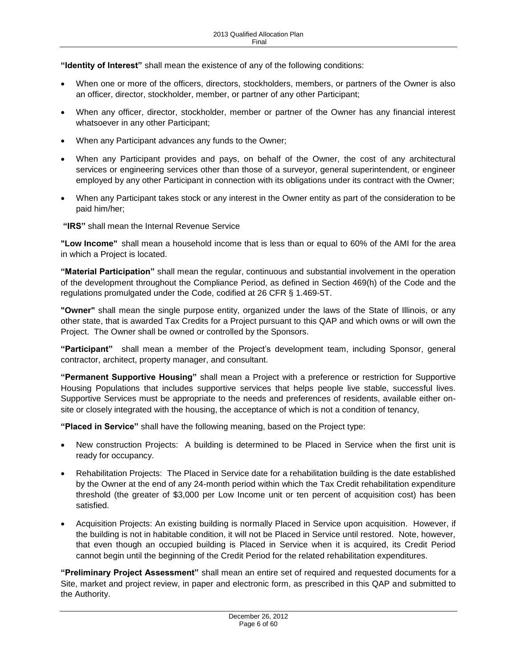**"Identity of Interest"** shall mean the existence of any of the following conditions:

- When one or more of the officers, directors, stockholders, members, or partners of the Owner is also an officer, director, stockholder, member, or partner of any other Participant;
- When any officer, director, stockholder, member or partner of the Owner has any financial interest whatsoever in any other Participant;
- When any Participant advances any funds to the Owner;
- When any Participant provides and pays, on behalf of the Owner, the cost of any architectural services or engineering services other than those of a surveyor, general superintendent, or engineer employed by any other Participant in connection with its obligations under its contract with the Owner;
- When any Participant takes stock or any interest in the Owner entity as part of the consideration to be paid him/her;

**"IRS"** shall mean the Internal Revenue Service

**"Low Income"** shall mean a household income that is less than or equal to 60% of the AMI for the area in which a Project is located.

**"Material Participation"** shall mean the regular, continuous and substantial involvement in the operation of the development throughout the Compliance Period, as defined in Section 469(h) of the Code and the regulations promulgated under the Code, codified at 26 CFR § 1.469-5T.

**"Owner"** shall mean the single purpose entity, organized under the laws of the State of Illinois, or any other state, that is awarded Tax Credits for a Project pursuant to this QAP and which owns or will own the Project. The Owner shall be owned or controlled by the Sponsors.

**"Participant"** shall mean a member of the Project's development team, including Sponsor, general contractor, architect, property manager, and consultant.

**"Permanent Supportive Housing"** shall mean a Project with a preference or restriction for Supportive Housing Populations that includes supportive services that helps people live stable, successful lives. Supportive Services must be appropriate to the needs and preferences of residents, available either onsite or closely integrated with the housing, the acceptance of which is not a condition of tenancy,

**"Placed in Service"** shall have the following meaning, based on the Project type:

- New construction Projects: A building is determined to be Placed in Service when the first unit is ready for occupancy.
- Rehabilitation Projects: The Placed in Service date for a rehabilitation building is the date established by the Owner at the end of any 24-month period within which the Tax Credit rehabilitation expenditure threshold (the greater of \$3,000 per Low Income unit or ten percent of acquisition cost) has been satisfied.
- Acquisition Projects: An existing building is normally Placed in Service upon acquisition. However, if the building is not in habitable condition, it will not be Placed in Service until restored. Note, however, that even though an occupied building is Placed in Service when it is acquired, its Credit Period cannot begin until the beginning of the Credit Period for the related rehabilitation expenditures.

**"Preliminary Project Assessment"** shall mean an entire set of required and requested documents for a Site, market and project review, in paper and electronic form, as prescribed in this QAP and submitted to the Authority.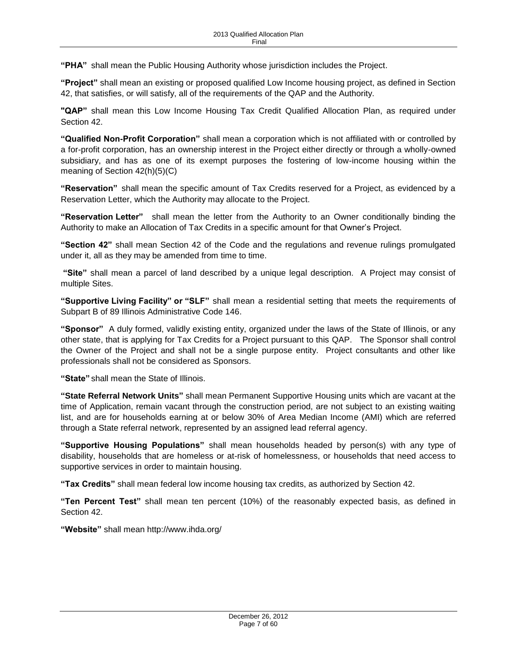**"PHA"** shall mean the Public Housing Authority whose jurisdiction includes the Project.

**"Project"** shall mean an existing or proposed qualified Low Income housing project, as defined in Section 42, that satisfies, or will satisfy, all of the requirements of the QAP and the Authority.

**"QAP"** shall mean this Low Income Housing Tax Credit Qualified Allocation Plan, as required under Section 42.

**"Qualified Non-Profit Corporation"** shall mean a corporation which is not affiliated with or controlled by a for-profit corporation, has an ownership interest in the Project either directly or through a wholly-owned subsidiary, and has as one of its exempt purposes the fostering of low-income housing within the meaning of Section 42(h)(5)(C)

**"Reservation"** shall mean the specific amount of Tax Credits reserved for a Project, as evidenced by a Reservation Letter, which the Authority may allocate to the Project.

**"Reservation Letter"** shall mean the letter from the Authority to an Owner conditionally binding the Authority to make an Allocation of Tax Credits in a specific amount for that Owner's Project.

**"Section 42"** shall mean Section 42 of the Code and the regulations and revenue rulings promulgated under it, all as they may be amended from time to time.

**"Site"** shall mean a parcel of land described by a unique legal description. A Project may consist of multiple Sites.

**"Supportive Living Facility" or "SLF"** shall mean a residential setting that meets the requirements of Subpart B of 89 Illinois Administrative Code 146.

**"Sponsor"** A duly formed, validly existing entity, organized under the laws of the State of Illinois, or any other state, that is applying for Tax Credits for a Project pursuant to this QAP. The Sponsor shall control the Owner of the Project and shall not be a single purpose entity. Project consultants and other like professionals shall not be considered as Sponsors.

**"State"** shall mean the State of Illinois.

**"State Referral Network Units"** shall mean Permanent Supportive Housing units which are vacant at the time of Application, remain vacant through the construction period, are not subject to an existing waiting list, and are for households earning at or below 30% of Area Median Income (AMI) which are referred through a State referral network, represented by an assigned lead referral agency.

**"Supportive Housing Populations"** shall mean households headed by person(s) with any type of disability, households that are homeless or at-risk of homelessness, or households that need access to supportive services in order to maintain housing.

**"Tax Credits"** shall mean federal low income housing tax credits, as authorized by Section 42.

**"Ten Percent Test"** shall mean ten percent (10%) of the reasonably expected basis, as defined in Section 42.

**"Website"** shall mean http://www.ihda.org/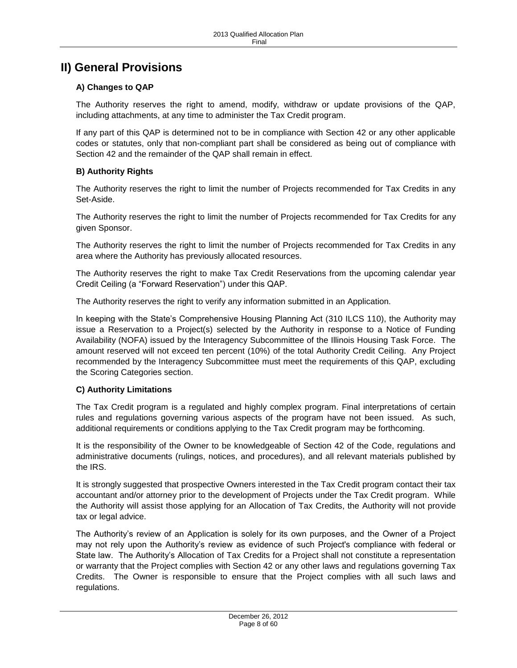# <span id="page-7-0"></span>**II) General Provisions**

# <span id="page-7-1"></span>**A) Changes to QAP**

The Authority reserves the right to amend, modify, withdraw or update provisions of the QAP, including attachments, at any time to administer the Tax Credit program.

If any part of this QAP is determined not to be in compliance with Section 42 or any other applicable codes or statutes, only that non-compliant part shall be considered as being out of compliance with Section 42 and the remainder of the QAP shall remain in effect.

# <span id="page-7-2"></span>**B) Authority Rights**

The Authority reserves the right to limit the number of Projects recommended for Tax Credits in any Set-Aside.

The Authority reserves the right to limit the number of Projects recommended for Tax Credits for any given Sponsor.

The Authority reserves the right to limit the number of Projects recommended for Tax Credits in any area where the Authority has previously allocated resources.

The Authority reserves the right to make Tax Credit Reservations from the upcoming calendar year Credit Ceiling (a "Forward Reservation") under this QAP.

The Authority reserves the right to verify any information submitted in an Application.

In keeping with the State's Comprehensive Housing Planning Act (310 ILCS 110), the Authority may issue a Reservation to a Project(s) selected by the Authority in response to a Notice of Funding Availability (NOFA) issued by the Interagency Subcommittee of the Illinois Housing Task Force. The amount reserved will not exceed ten percent (10%) of the total Authority Credit Ceiling. Any Project recommended by the Interagency Subcommittee must meet the requirements of this QAP, excluding the Scoring Categories section.

### <span id="page-7-3"></span>**C) Authority Limitations**

The Tax Credit program is a regulated and highly complex program. Final interpretations of certain rules and regulations governing various aspects of the program have not been issued. As such, additional requirements or conditions applying to the Tax Credit program may be forthcoming.

It is the responsibility of the Owner to be knowledgeable of Section 42 of the Code, regulations and administrative documents (rulings, notices, and procedures), and all relevant materials published by the IRS.

It is strongly suggested that prospective Owners interested in the Tax Credit program contact their tax accountant and/or attorney prior to the development of Projects under the Tax Credit program. While the Authority will assist those applying for an Allocation of Tax Credits, the Authority will not provide tax or legal advice.

The Authority's review of an Application is solely for its own purposes, and the Owner of a Project may not rely upon the Authority's review as evidence of such Project's compliance with federal or State law. The Authority's Allocation of Tax Credits for a Project shall not constitute a representation or warranty that the Project complies with Section 42 or any other laws and regulations governing Tax Credits. The Owner is responsible to ensure that the Project complies with all such laws and regulations.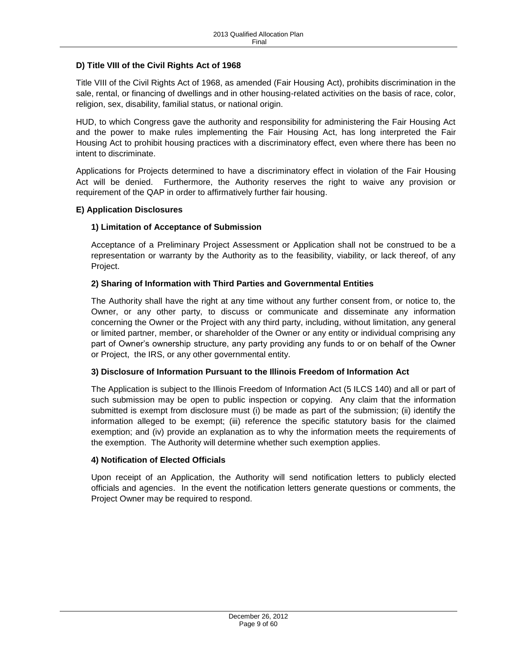# <span id="page-8-0"></span>**D) Title VIII of the Civil Rights Act of 1968**

Title VIII of the Civil Rights Act of 1968, as amended (Fair Housing Act), prohibits discrimination in the sale, rental, or financing of dwellings and in other housing-related activities on the basis of race, color, religion, sex, disability, familial status, or national origin.

HUD, to which Congress gave the authority and responsibility for administering the Fair Housing Act and the power to make rules implementing the Fair Housing Act, has long interpreted the Fair Housing Act to prohibit housing practices with a discriminatory effect, even where there has been no intent to discriminate.

Applications for Projects determined to have a discriminatory effect in violation of the Fair Housing Act will be denied. Furthermore, the Authority reserves the right to waive any provision or requirement of the QAP in order to affirmatively further fair housing.

### <span id="page-8-1"></span>**E) Application Disclosures**

# **1) Limitation of Acceptance of Submission**

Acceptance of a Preliminary Project Assessment or Application shall not be construed to be a representation or warranty by the Authority as to the feasibility, viability, or lack thereof, of any Project.

# **2) Sharing of Information with Third Parties and Governmental Entities**

The Authority shall have the right at any time without any further consent from, or notice to, the Owner, or any other party, to discuss or communicate and disseminate any information concerning the Owner or the Project with any third party, including, without limitation, any general or limited partner, member, or shareholder of the Owner or any entity or individual comprising any part of Owner's ownership structure, any party providing any funds to or on behalf of the Owner or Project, the IRS, or any other governmental entity.

# **3) Disclosure of Information Pursuant to the Illinois Freedom of Information Act**

The Application is subject to the Illinois Freedom of Information Act (5 ILCS 140) and all or part of such submission may be open to public inspection or copying. Any claim that the information submitted is exempt from disclosure must (i) be made as part of the submission; (ii) identify the information alleged to be exempt; (iii) reference the specific statutory basis for the claimed exemption; and (iv) provide an explanation as to why the information meets the requirements of the exemption. The Authority will determine whether such exemption applies.

### **4) Notification of Elected Officials**

Upon receipt of an Application, the Authority will send notification letters to publicly elected officials and agencies. In the event the notification letters generate questions or comments, the Project Owner may be required to respond.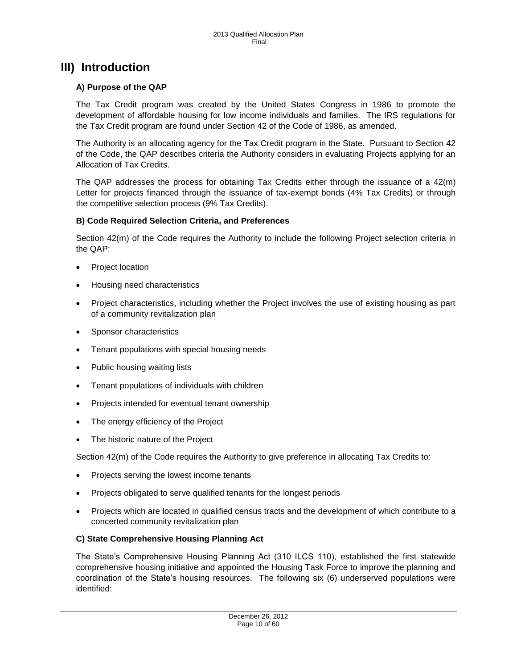# <span id="page-9-0"></span>**III) Introduction**

# <span id="page-9-1"></span>**A) Purpose of the QAP**

The Tax Credit program was created by the United States Congress in 1986 to promote the development of affordable housing for low income individuals and families. The IRS regulations for the Tax Credit program are found under Section 42 of the Code of 1986, as amended.

The Authority is an allocating agency for the Tax Credit program in the State. Pursuant to Section 42 of the Code, the QAP describes criteria the Authority considers in evaluating Projects applying for an Allocation of Tax Credits.

The QAP addresses the process for obtaining Tax Credits either through the issuance of a 42(m) Letter for projects financed through the issuance of tax-exempt bonds (4% Tax Credits) or through the competitive selection process (9% Tax Credits).

### <span id="page-9-2"></span>**B) Code Required Selection Criteria, and Preferences**

Section  $42(m)$  of the Code requires the Authority to include the following Project selection criteria in the QAP:

- Project location
- Housing need characteristics
- Project characteristics, including whether the Project involves the use of existing housing as part of a community revitalization plan
- Sponsor characteristics
- Tenant populations with special housing needs
- Public housing waiting lists
- Tenant populations of individuals with children
- Projects intended for eventual tenant ownership
- The energy efficiency of the Project
- The historic nature of the Project

Section 42(m) of the Code requires the Authority to give preference in allocating Tax Credits to:

- Projects serving the lowest income tenants
- Projects obligated to serve qualified tenants for the longest periods
- Projects which are located in qualified census tracts and the development of which contribute to a concerted community revitalization plan

### <span id="page-9-3"></span>**C) State Comprehensive Housing Planning Act**

The State's Comprehensive Housing Planning Act (310 ILCS 110), established the first statewide comprehensive housing initiative and appointed the Housing Task Force to improve the planning and coordination of the State's housing resources. The following six (6) underserved populations were identified: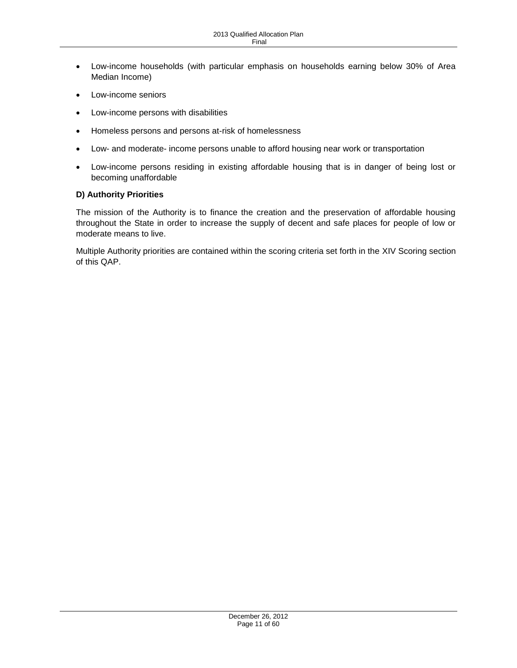- Low-income households (with particular emphasis on households earning below 30% of Area Median Income)
- Low-income seniors
- Low-income persons with disabilities
- Homeless persons and persons at-risk of homelessness
- Low- and moderate- income persons unable to afford housing near work or transportation
- Low-income persons residing in existing affordable housing that is in danger of being lost or becoming unaffordable

### <span id="page-10-0"></span>**D) Authority Priorities**

The mission of the Authority is to finance the creation and the preservation of affordable housing throughout the State in order to increase the supply of decent and safe places for people of low or moderate means to live.

Multiple Authority priorities are contained within the scoring criteria set forth in the XIV Scoring section of this QAP.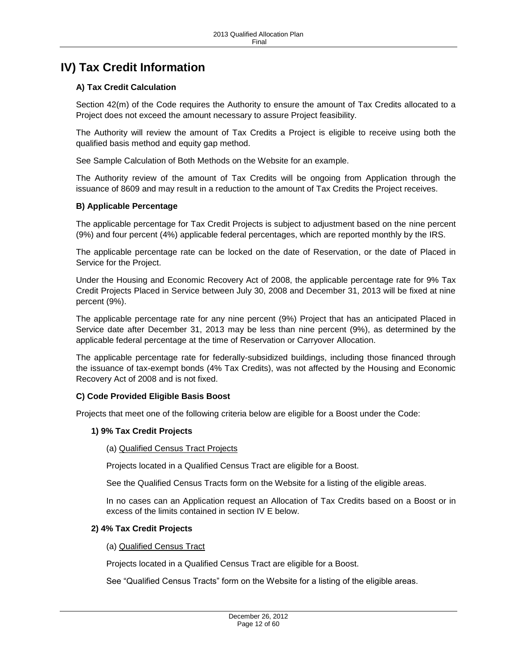# <span id="page-11-0"></span>**IV) Tax Credit Information**

# <span id="page-11-1"></span>**A) Tax Credit Calculation**

Section 42(m) of the Code requires the Authority to ensure the amount of Tax Credits allocated to a Project does not exceed the amount necessary to assure Project feasibility.

The Authority will review the amount of Tax Credits a Project is eligible to receive using both the qualified basis method and equity gap method.

See Sample Calculation of Both Methods on the Website for an example.

The Authority review of the amount of Tax Credits will be ongoing from Application through the issuance of 8609 and may result in a reduction to the amount of Tax Credits the Project receives.

### <span id="page-11-2"></span>**B) Applicable Percentage**

The applicable percentage for Tax Credit Projects is subject to adjustment based on the nine percent (9%) and four percent (4%) applicable federal percentages, which are reported monthly by the IRS.

The applicable percentage rate can be locked on the date of Reservation, or the date of Placed in Service for the Project.

Under the Housing and Economic Recovery Act of 2008, the applicable percentage rate for 9% Tax Credit Projects Placed in Service between July 30, 2008 and December 31, 2013 will be fixed at nine percent (9%).

The applicable percentage rate for any nine percent (9%) Project that has an anticipated Placed in Service date after December 31, 2013 may be less than nine percent (9%), as determined by the applicable federal percentage at the time of Reservation or Carryover Allocation.

The applicable percentage rate for federally-subsidized buildings, including those financed through the issuance of tax-exempt bonds (4% Tax Credits), was not affected by the Housing and Economic Recovery Act of 2008 and is not fixed.

### <span id="page-11-3"></span>**C) Code Provided Eligible Basis Boost**

Projects that meet one of the following criteria below are eligible for a Boost under the Code:

#### **1) 9% Tax Credit Projects**

(a) Qualified Census Tract Projects

Projects located in a Qualified Census Tract are eligible for a Boost.

See the Qualified Census Tracts form on the Website for a listing of the eligible areas.

In no cases can an Application request an Allocation of Tax Credits based on a Boost or in excess of the limits contained in section IV E below.

#### **2) 4% Tax Credit Projects**

#### (a) Qualified Census Tract

Projects located in a Qualified Census Tract are eligible for a Boost.

See "Qualified Census Tracts" form on the Website for a listing of the eligible areas.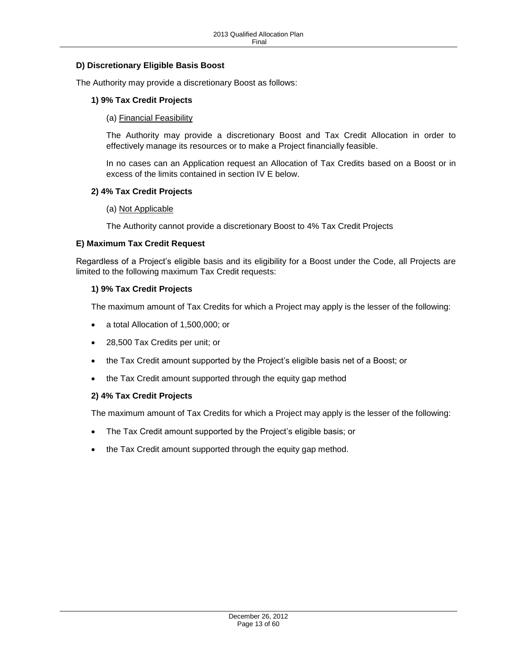# <span id="page-12-0"></span>**D) Discretionary Eligible Basis Boost**

The Authority may provide a discretionary Boost as follows:

### **1) 9% Tax Credit Projects**

(a) Financial Feasibility

The Authority may provide a discretionary Boost and Tax Credit Allocation in order to effectively manage its resources or to make a Project financially feasible.

In no cases can an Application request an Allocation of Tax Credits based on a Boost or in excess of the limits contained in section IV E below.

#### **2) 4% Tax Credit Projects**

#### (a) Not Applicable

The Authority cannot provide a discretionary Boost to 4% Tax Credit Projects

#### <span id="page-12-1"></span>**E) Maximum Tax Credit Request**

Regardless of a Project's eligible basis and its eligibility for a Boost under the Code, all Projects are limited to the following maximum Tax Credit requests:

#### **1) 9% Tax Credit Projects**

The maximum amount of Tax Credits for which a Project may apply is the lesser of the following:

- a total Allocation of 1,500,000; or
- 28,500 Tax Credits per unit; or
- the Tax Credit amount supported by the Project's eligible basis net of a Boost; or
- the Tax Credit amount supported through the equity gap method

### **2) 4% Tax Credit Projects**

The maximum amount of Tax Credits for which a Project may apply is the lesser of the following:

- The Tax Credit amount supported by the Project's eligible basis; or
- the Tax Credit amount supported through the equity gap method.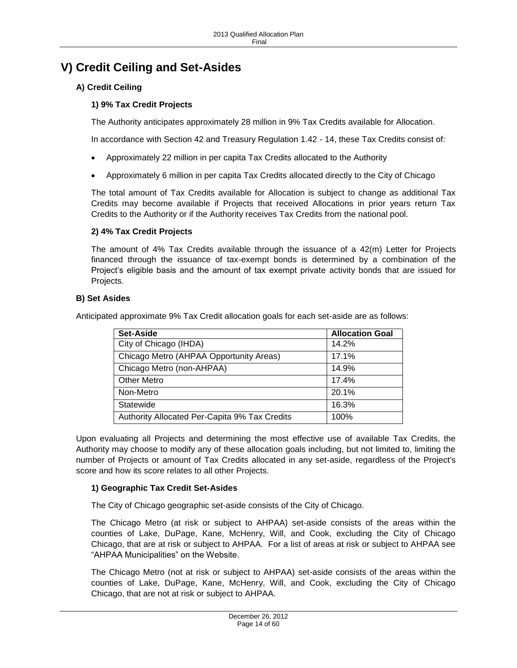# <span id="page-13-0"></span>**V) Credit Ceiling and Set-Asides**

# <span id="page-13-1"></span>**A) Credit Ceiling**

# **1) 9% Tax Credit Projects**

The Authority anticipates approximately 28 million in 9% Tax Credits available for Allocation.

In accordance with Section 42 and Treasury Regulation 1.42 - 14, these Tax Credits consist of:

- Approximately 22 million in per capita Tax Credits allocated to the Authority
- Approximately 6 million in per capita Tax Credits allocated directly to the City of Chicago

The total amount of Tax Credits available for Allocation is subject to change as additional Tax Credits may become available if Projects that received Allocations in prior years return Tax Credits to the Authority or if the Authority receives Tax Credits from the national pool.

# **2) 4% Tax Credit Projects**

The amount of 4% Tax Credits available through the issuance of a 42(m) Letter for Projects financed through the issuance of tax-exempt bonds is determined by a combination of the Project's eligible basis and the amount of tax exempt private activity bonds that are issued for Projects.

# <span id="page-13-2"></span>**B) Set Asides**

Anticipated approximate 9% Tax Credit allocation goals for each set-aside are as follows:

| Set-Aside                                     | <b>Allocation Goal</b> |
|-----------------------------------------------|------------------------|
| City of Chicago (IHDA)                        | 14.2%                  |
| Chicago Metro (AHPAA Opportunity Areas)       | 17.1%                  |
| Chicago Metro (non-AHPAA)                     | 14.9%                  |
| <b>Other Metro</b>                            | 17.4%                  |
| Non-Metro                                     | 20.1%                  |
| Statewide                                     | 16.3%                  |
| Authority Allocated Per-Capita 9% Tax Credits | 100%                   |

Upon evaluating all Projects and determining the most effective use of available Tax Credits, the Authority may choose to modify any of these allocation goals including, but not limited to, limiting the number of Projects or amount of Tax Credits allocated in any set-aside, regardless of the Project's score and how its score relates to all other Projects.

# **1) Geographic Tax Credit Set-Asides**

The City of Chicago geographic set-aside consists of the City of Chicago.

The Chicago Metro (at risk or subject to AHPAA) set-aside consists of the areas within the counties of Lake, DuPage, Kane, McHenry, Will, and Cook, excluding the City of Chicago Chicago, that are at risk or subject to AHPAA. For a list of areas at risk or subject to AHPAA see "AHPAA Municipalities" on the Website.

The Chicago Metro (not at risk or subject to AHPAA) set-aside consists of the areas within the counties of Lake, DuPage, Kane, McHenry, Will, and Cook, excluding the City of Chicago Chicago, that are not at risk or subject to AHPAA.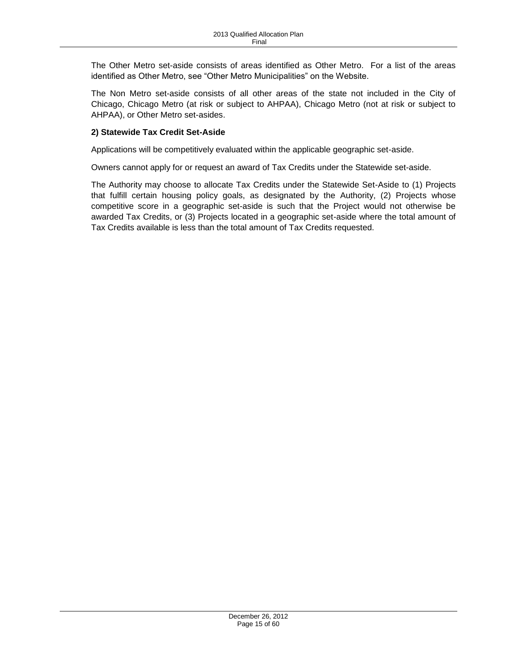The Other Metro set-aside consists of areas identified as Other Metro. For a list of the areas identified as Other Metro, see "Other Metro Municipalities" on the Website.

The Non Metro set-aside consists of all other areas of the state not included in the City of Chicago, Chicago Metro (at risk or subject to AHPAA), Chicago Metro (not at risk or subject to AHPAA), or Other Metro set-asides.

# **2) Statewide Tax Credit Set-Aside**

Applications will be competitively evaluated within the applicable geographic set-aside.

Owners cannot apply for or request an award of Tax Credits under the Statewide set-aside.

The Authority may choose to allocate Tax Credits under the Statewide Set-Aside to (1) Projects that fulfill certain housing policy goals, as designated by the Authority, (2) Projects whose competitive score in a geographic set-aside is such that the Project would not otherwise be awarded Tax Credits, or (3) Projects located in a geographic set-aside where the total amount of Tax Credits available is less than the total amount of Tax Credits requested.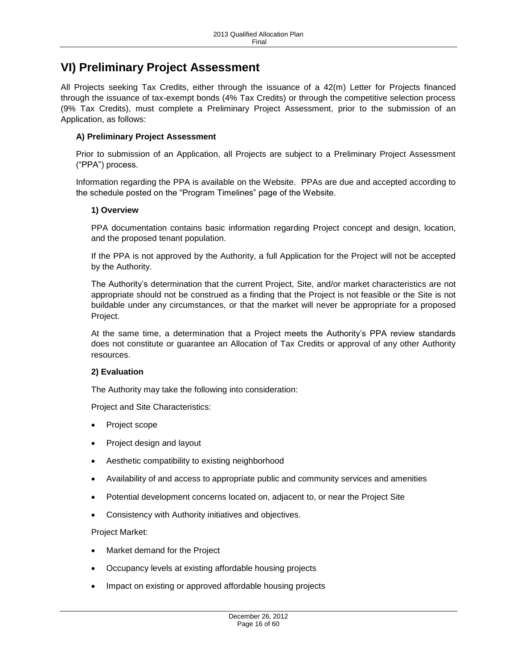# <span id="page-15-0"></span>**VI) Preliminary Project Assessment**

All Projects seeking Tax Credits, either through the issuance of a 42(m) Letter for Projects financed through the issuance of tax-exempt bonds (4% Tax Credits) or through the competitive selection process (9% Tax Credits), must complete a Preliminary Project Assessment, prior to the submission of an Application, as follows:

# <span id="page-15-1"></span>**A) Preliminary Project Assessment**

Prior to submission of an Application, all Projects are subject to a Preliminary Project Assessment ("PPA") process.

Information regarding the PPA is available on the Website. PPAs are due and accepted according to the schedule posted on the "Program Timelines" page of the Website.

### **1) Overview**

PPA documentation contains basic information regarding Project concept and design, location, and the proposed tenant population.

If the PPA is not approved by the Authority, a full Application for the Project will not be accepted by the Authority.

The Authority's determination that the current Project, Site, and/or market characteristics are not appropriate should not be construed as a finding that the Project is not feasible or the Site is not buildable under any circumstances, or that the market will never be appropriate for a proposed Project.

At the same time, a determination that a Project meets the Authority's PPA review standards does not constitute or guarantee an Allocation of Tax Credits or approval of any other Authority resources.

### **2) Evaluation**

The Authority may take the following into consideration:

Project and Site Characteristics:

- Project scope
- Project design and layout
- Aesthetic compatibility to existing neighborhood
- Availability of and access to appropriate public and community services and amenities
- Potential development concerns located on, adjacent to, or near the Project Site
- Consistency with Authority initiatives and objectives.

Project Market:

- Market demand for the Project
- Occupancy levels at existing affordable housing projects
- Impact on existing or approved affordable housing projects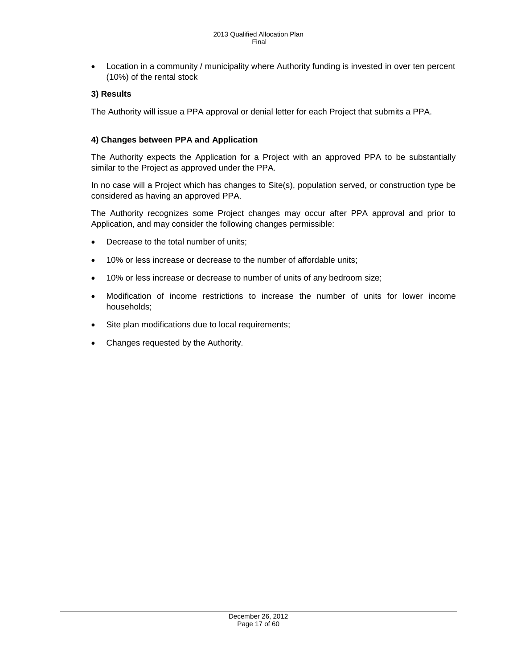Location in a community / municipality where Authority funding is invested in over ten percent (10%) of the rental stock

# **3) Results**

The Authority will issue a PPA approval or denial letter for each Project that submits a PPA.

# **4) Changes between PPA and Application**

The Authority expects the Application for a Project with an approved PPA to be substantially similar to the Project as approved under the PPA.

In no case will a Project which has changes to Site(s), population served, or construction type be considered as having an approved PPA.

The Authority recognizes some Project changes may occur after PPA approval and prior to Application, and may consider the following changes permissible:

- Decrease to the total number of units;
- 10% or less increase or decrease to the number of affordable units;
- 10% or less increase or decrease to number of units of any bedroom size;
- Modification of income restrictions to increase the number of units for lower income households;
- Site plan modifications due to local requirements;
- Changes requested by the Authority.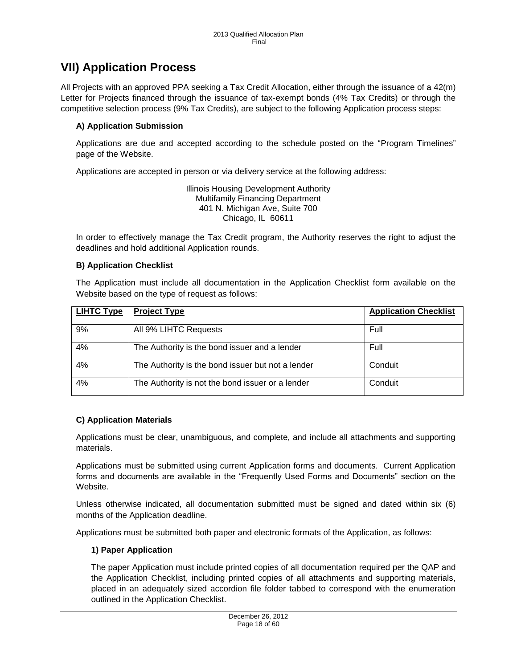# <span id="page-17-0"></span>**VII) Application Process**

All Projects with an approved PPA seeking a Tax Credit Allocation, either through the issuance of a 42(m) Letter for Projects financed through the issuance of tax-exempt bonds (4% Tax Credits) or through the competitive selection process (9% Tax Credits), are subject to the following Application process steps:

# <span id="page-17-1"></span>**A) Application Submission**

Applications are due and accepted according to the schedule posted on the "Program Timelines" page of the Website.

Applications are accepted in person or via delivery service at the following address:

Illinois Housing Development Authority Multifamily Financing Department 401 N. Michigan Ave, Suite 700 Chicago, IL 60611

In order to effectively manage the Tax Credit program, the Authority reserves the right to adjust the deadlines and hold additional Application rounds.

### <span id="page-17-2"></span>**B) Application Checklist**

The Application must include all documentation in the Application Checklist form available on the Website based on the type of request as follows:

| <b>LIHTC Type</b> | <b>Project Type</b>                               | <b>Application Checklist</b> |
|-------------------|---------------------------------------------------|------------------------------|
| 9%                | All 9% LIHTC Requests                             | Full                         |
| 4%                | The Authority is the bond issuer and a lender     | Full                         |
| 4%                | The Authority is the bond issuer but not a lender | Conduit                      |
| 4%                | The Authority is not the bond issuer or a lender  | Conduit                      |

# <span id="page-17-3"></span>**C) Application Materials**

Applications must be clear, unambiguous, and complete, and include all attachments and supporting materials.

Applications must be submitted using current Application forms and documents. Current Application forms and documents are available in the "Frequently Used Forms and Documents" section on the Website.

Unless otherwise indicated, all documentation submitted must be signed and dated within six (6) months of the Application deadline.

Applications must be submitted both paper and electronic formats of the Application, as follows:

### **1) Paper Application**

The paper Application must include printed copies of all documentation required per the QAP and the Application Checklist, including printed copies of all attachments and supporting materials, placed in an adequately sized accordion file folder tabbed to correspond with the enumeration outlined in the Application Checklist.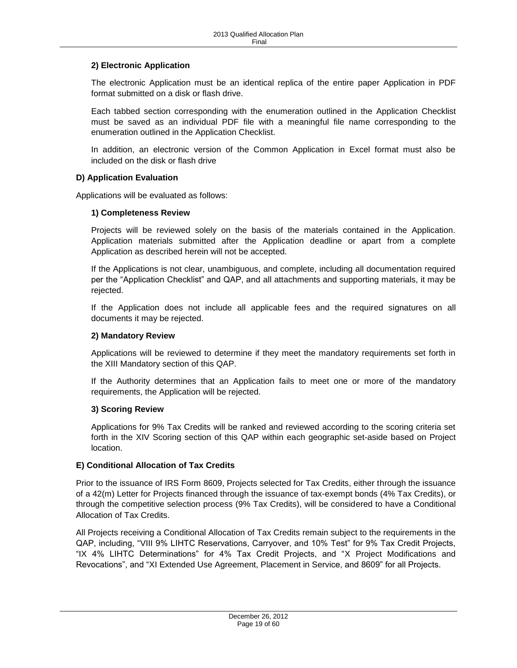# **2) Electronic Application**

The electronic Application must be an identical replica of the entire paper Application in PDF format submitted on a disk or flash drive.

Each tabbed section corresponding with the enumeration outlined in the Application Checklist must be saved as an individual PDF file with a meaningful file name corresponding to the enumeration outlined in the Application Checklist.

In addition, an electronic version of the Common Application in Excel format must also be included on the disk or flash drive

# <span id="page-18-0"></span>**D) Application Evaluation**

Applications will be evaluated as follows:

### **1) Completeness Review**

Projects will be reviewed solely on the basis of the materials contained in the Application. Application materials submitted after the Application deadline or apart from a complete Application as described herein will not be accepted.

If the Applications is not clear, unambiguous, and complete, including all documentation required per the "Application Checklist" and QAP, and all attachments and supporting materials, it may be rejected.

If the Application does not include all applicable fees and the required signatures on all documents it may be rejected.

### **2) Mandatory Review**

Applications will be reviewed to determine if they meet the mandatory requirements set forth in the XIII Mandatory section of this QAP.

If the Authority determines that an Application fails to meet one or more of the mandatory requirements, the Application will be rejected.

### **3) Scoring Review**

Applications for 9% Tax Credits will be ranked and reviewed according to the scoring criteria set forth in the XIV Scoring section of this QAP within each geographic set-aside based on Project location.

### <span id="page-18-1"></span>**E) Conditional Allocation of Tax Credits**

Prior to the issuance of IRS Form 8609, Projects selected for Tax Credits, either through the issuance of a 42(m) Letter for Projects financed through the issuance of tax-exempt bonds (4% Tax Credits), or through the competitive selection process (9% Tax Credits), will be considered to have a Conditional Allocation of Tax Credits.

All Projects receiving a Conditional Allocation of Tax Credits remain subject to the requirements in the QAP, including, "VIII 9% LIHTC Reservations, Carryover, and 10% Test" for 9% Tax Credit Projects, "IX 4% LIHTC Determinations" for 4% Tax Credit Projects, and "X Project Modifications and Revocations", and "XI Extended Use Agreement, Placement in Service, and 8609" for all Projects.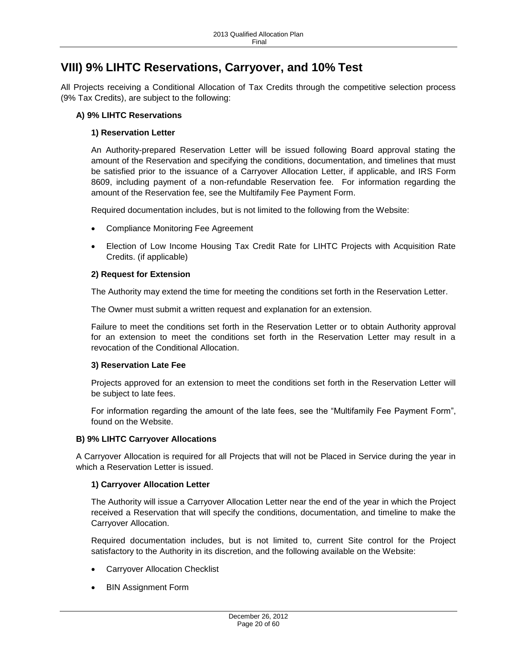# <span id="page-19-0"></span>**VIII) 9% LIHTC Reservations, Carryover, and 10% Test**

All Projects receiving a Conditional Allocation of Tax Credits through the competitive selection process (9% Tax Credits), are subject to the following:

# <span id="page-19-1"></span>**A) 9% LIHTC Reservations**

# **1) Reservation Letter**

An Authority-prepared Reservation Letter will be issued following Board approval stating the amount of the Reservation and specifying the conditions, documentation, and timelines that must be satisfied prior to the issuance of a Carryover Allocation Letter, if applicable, and IRS Form 8609, including payment of a non-refundable Reservation fee. For information regarding the amount of the Reservation fee, see the Multifamily Fee Payment Form.

Required documentation includes, but is not limited to the following from the Website:

- Compliance Monitoring Fee Agreement
- Election of Low Income Housing Tax Credit Rate for LIHTC Projects with Acquisition Rate Credits. (if applicable)

# **2) Request for Extension**

The Authority may extend the time for meeting the conditions set forth in the Reservation Letter.

The Owner must submit a written request and explanation for an extension.

Failure to meet the conditions set forth in the Reservation Letter or to obtain Authority approval for an extension to meet the conditions set forth in the Reservation Letter may result in a revocation of the Conditional Allocation.

### **3) Reservation Late Fee**

Projects approved for an extension to meet the conditions set forth in the Reservation Letter will be subject to late fees.

For information regarding the amount of the late fees, see the "Multifamily Fee Payment Form", found on the Website.

### <span id="page-19-2"></span>**B) 9% LIHTC Carryover Allocations**

A Carryover Allocation is required for all Projects that will not be Placed in Service during the year in which a Reservation Letter is issued.

### **1) Carryover Allocation Letter**

The Authority will issue a Carryover Allocation Letter near the end of the year in which the Project received a Reservation that will specify the conditions, documentation, and timeline to make the Carryover Allocation.

Required documentation includes, but is not limited to, current Site control for the Project satisfactory to the Authority in its discretion, and the following available on the Website:

- Carryover Allocation Checklist
- BIN Assignment Form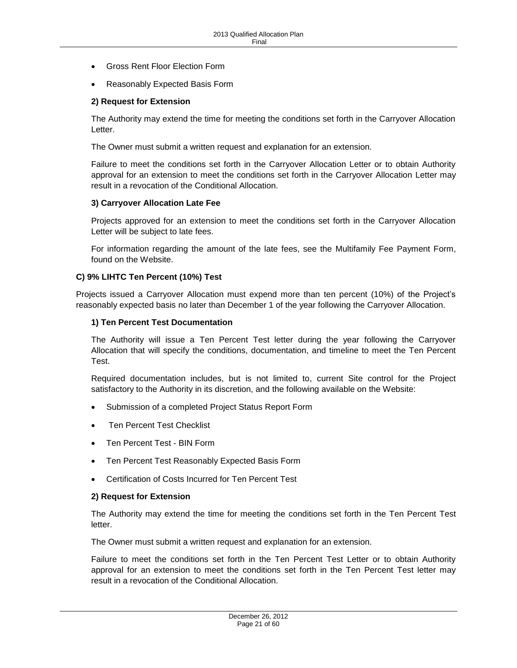- Gross Rent Floor Election Form
- Reasonably Expected Basis Form

#### **2) Request for Extension**

The Authority may extend the time for meeting the conditions set forth in the Carryover Allocation Letter.

The Owner must submit a written request and explanation for an extension.

Failure to meet the conditions set forth in the Carryover Allocation Letter or to obtain Authority approval for an extension to meet the conditions set forth in the Carryover Allocation Letter may result in a revocation of the Conditional Allocation.

#### **3) Carryover Allocation Late Fee**

Projects approved for an extension to meet the conditions set forth in the Carryover Allocation Letter will be subject to late fees.

For information regarding the amount of the late fees, see the Multifamily Fee Payment Form, found on the Website.

#### <span id="page-20-0"></span>**C) 9% LIHTC Ten Percent (10%) Test**

Projects issued a Carryover Allocation must expend more than ten percent (10%) of the Project's reasonably expected basis no later than December 1 of the year following the Carryover Allocation.

#### **1) Ten Percent Test Documentation**

The Authority will issue a Ten Percent Test letter during the year following the Carryover Allocation that will specify the conditions, documentation, and timeline to meet the Ten Percent Test.

Required documentation includes, but is not limited to, current Site control for the Project satisfactory to the Authority in its discretion, and the following available on the Website:

- Submission of a completed Project Status Report Form
- Ten Percent Test Checklist
- Ten Percent Test BIN Form
- Ten Percent Test Reasonably Expected Basis Form
- Certification of Costs Incurred for Ten Percent Test

#### **2) Request for Extension**

The Authority may extend the time for meeting the conditions set forth in the Ten Percent Test letter.

The Owner must submit a written request and explanation for an extension.

Failure to meet the conditions set forth in the Ten Percent Test Letter or to obtain Authority approval for an extension to meet the conditions set forth in the Ten Percent Test letter may result in a revocation of the Conditional Allocation.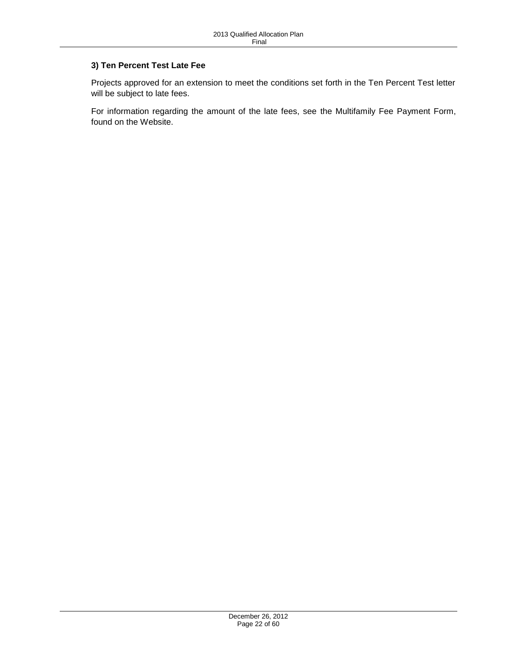# **3) Ten Percent Test Late Fee**

Projects approved for an extension to meet the conditions set forth in the Ten Percent Test letter will be subject to late fees.

For information regarding the amount of the late fees, see the Multifamily Fee Payment Form, found on the Website.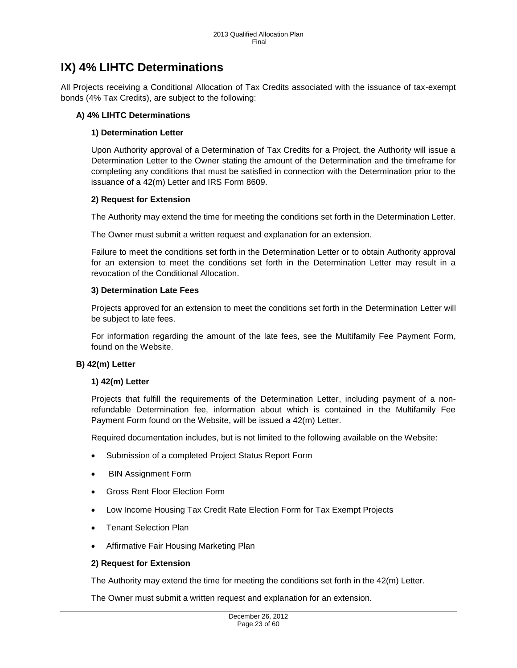# <span id="page-22-0"></span>**IX) 4% LIHTC Determinations**

All Projects receiving a Conditional Allocation of Tax Credits associated with the issuance of tax-exempt bonds (4% Tax Credits), are subject to the following:

### <span id="page-22-1"></span>**A) 4% LIHTC Determinations**

## **1) Determination Letter**

Upon Authority approval of a Determination of Tax Credits for a Project, the Authority will issue a Determination Letter to the Owner stating the amount of the Determination and the timeframe for completing any conditions that must be satisfied in connection with the Determination prior to the issuance of a 42(m) Letter and IRS Form 8609.

### **2) Request for Extension**

The Authority may extend the time for meeting the conditions set forth in the Determination Letter.

The Owner must submit a written request and explanation for an extension.

Failure to meet the conditions set forth in the Determination Letter or to obtain Authority approval for an extension to meet the conditions set forth in the Determination Letter may result in a revocation of the Conditional Allocation.

### **3) Determination Late Fees**

Projects approved for an extension to meet the conditions set forth in the Determination Letter will be subject to late fees.

For information regarding the amount of the late fees, see the Multifamily Fee Payment Form, found on the Website.

### <span id="page-22-2"></span>**B) 42(m) Letter**

### **1) 42(m) Letter**

Projects that fulfill the requirements of the Determination Letter, including payment of a nonrefundable Determination fee, information about which is contained in the Multifamily Fee Payment Form found on the Website, will be issued a 42(m) Letter.

Required documentation includes, but is not limited to the following available on the Website:

- Submission of a completed Project Status Report Form
- BIN Assignment Form
- Gross Rent Floor Election Form
- Low Income Housing Tax Credit Rate Election Form for Tax Exempt Projects
- Tenant Selection Plan
- Affirmative Fair Housing Marketing Plan

#### **2) Request for Extension**

The Authority may extend the time for meeting the conditions set forth in the 42(m) Letter.

The Owner must submit a written request and explanation for an extension.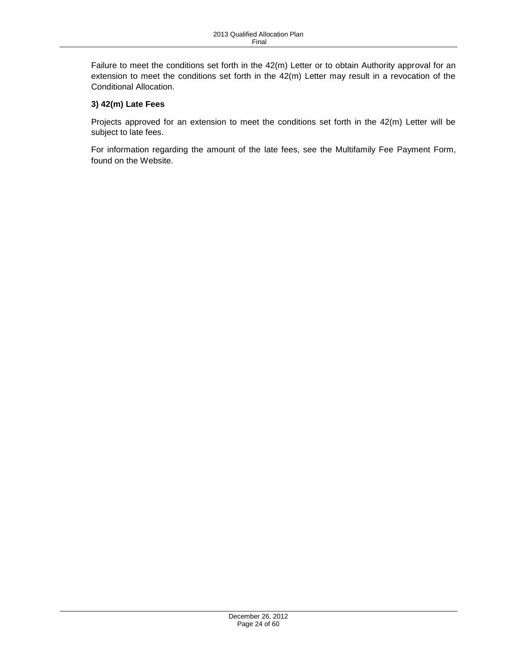Failure to meet the conditions set forth in the 42(m) Letter or to obtain Authority approval for an extension to meet the conditions set forth in the 42(m) Letter may result in a revocation of the Conditional Allocation.

# **3) 42(m) Late Fees**

Projects approved for an extension to meet the conditions set forth in the 42(m) Letter will be subject to late fees.

For information regarding the amount of the late fees, see the Multifamily Fee Payment Form, found on the Website.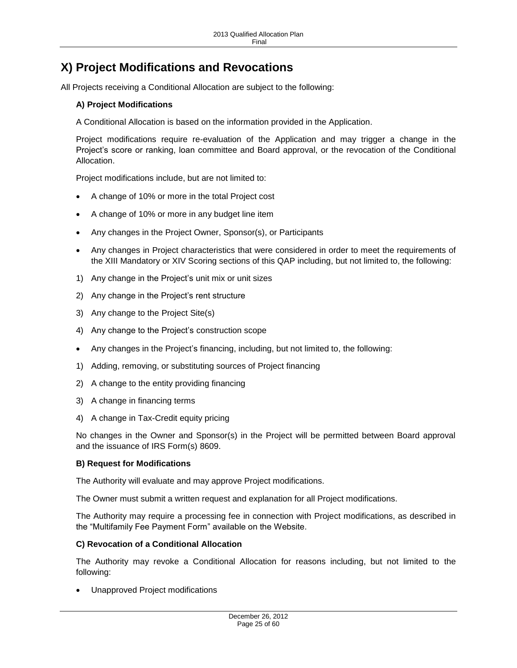# <span id="page-24-0"></span>**X) Project Modifications and Revocations**

<span id="page-24-1"></span>All Projects receiving a Conditional Allocation are subject to the following:

## **A) Project Modifications**

A Conditional Allocation is based on the information provided in the Application.

Project modifications require re-evaluation of the Application and may trigger a change in the Project's score or ranking, loan committee and Board approval, or the revocation of the Conditional Allocation.

Project modifications include, but are not limited to:

- A change of 10% or more in the total Project cost
- A change of 10% or more in any budget line item
- Any changes in the Project Owner, Sponsor(s), or Participants
- Any changes in Project characteristics that were considered in order to meet the requirements of the XIII Mandatory or XIV Scoring sections of this QAP including, but not limited to, the following:
- 1) Any change in the Project's unit mix or unit sizes
- 2) Any change in the Project's rent structure
- 3) Any change to the Project Site(s)
- 4) Any change to the Project's construction scope
- Any changes in the Project's financing, including, but not limited to, the following:
- 1) Adding, removing, or substituting sources of Project financing
- 2) A change to the entity providing financing
- 3) A change in financing terms
- 4) A change in Tax-Credit equity pricing

No changes in the Owner and Sponsor(s) in the Project will be permitted between Board approval and the issuance of IRS Form(s) 8609.

#### <span id="page-24-2"></span>**B) Request for Modifications**

The Authority will evaluate and may approve Project modifications.

The Owner must submit a written request and explanation for all Project modifications.

The Authority may require a processing fee in connection with Project modifications, as described in the "Multifamily Fee Payment Form" available on the Website.

#### <span id="page-24-3"></span>**C) Revocation of a Conditional Allocation**

The Authority may revoke a Conditional Allocation for reasons including, but not limited to the following:

Unapproved Project modifications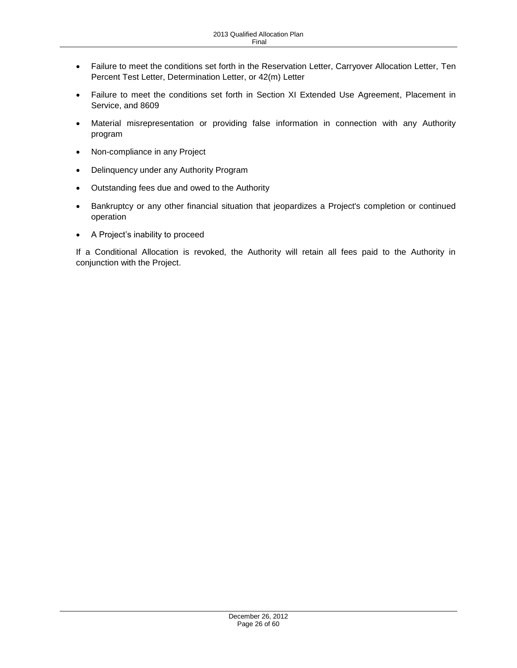- Failure to meet the conditions set forth in the Reservation Letter, Carryover Allocation Letter, Ten Percent Test Letter, Determination Letter, or 42(m) Letter
- Failure to meet the conditions set forth in Section XI Extended Use Agreement, Placement in Service, and 8609
- Material misrepresentation or providing false information in connection with any Authority program
- Non-compliance in any Project
- Delinquency under any Authority Program
- Outstanding fees due and owed to the Authority
- Bankruptcy or any other financial situation that jeopardizes a Project's completion or continued operation
- A Project's inability to proceed

If a Conditional Allocation is revoked, the Authority will retain all fees paid to the Authority in conjunction with the Project.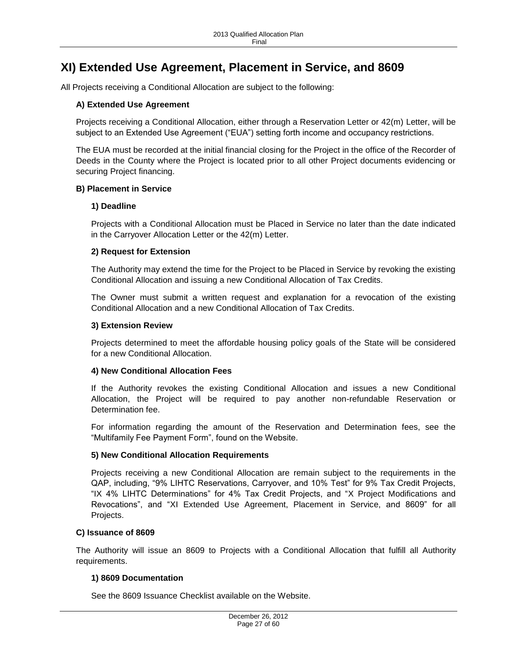# <span id="page-26-0"></span>**XI) Extended Use Agreement, Placement in Service, and 8609**

<span id="page-26-1"></span>All Projects receiving a Conditional Allocation are subject to the following:

### **A) Extended Use Agreement**

Projects receiving a Conditional Allocation, either through a Reservation Letter or 42(m) Letter, will be subject to an Extended Use Agreement ("EUA") setting forth income and occupancy restrictions.

The EUA must be recorded at the initial financial closing for the Project in the office of the Recorder of Deeds in the County where the Project is located prior to all other Project documents evidencing or securing Project financing.

#### <span id="page-26-2"></span>**B) Placement in Service**

#### **1) Deadline**

Projects with a Conditional Allocation must be Placed in Service no later than the date indicated in the Carryover Allocation Letter or the 42(m) Letter.

#### **2) Request for Extension**

The Authority may extend the time for the Project to be Placed in Service by revoking the existing Conditional Allocation and issuing a new Conditional Allocation of Tax Credits.

The Owner must submit a written request and explanation for a revocation of the existing Conditional Allocation and a new Conditional Allocation of Tax Credits.

#### **3) Extension Review**

Projects determined to meet the affordable housing policy goals of the State will be considered for a new Conditional Allocation.

#### **4) New Conditional Allocation Fees**

If the Authority revokes the existing Conditional Allocation and issues a new Conditional Allocation, the Project will be required to pay another non-refundable Reservation or Determination fee.

For information regarding the amount of the Reservation and Determination fees, see the "Multifamily Fee Payment Form", found on the Website.

#### **5) New Conditional Allocation Requirements**

Projects receiving a new Conditional Allocation are remain subject to the requirements in the QAP, including, "9% LIHTC Reservations, Carryover, and 10% Test" for 9% Tax Credit Projects, "IX 4% LIHTC Determinations" for 4% Tax Credit Projects, and "X Project Modifications and Revocations", and "XI Extended Use Agreement, Placement in Service, and 8609" for all Projects.

#### <span id="page-26-3"></span>**C) Issuance of 8609**

The Authority will issue an 8609 to Projects with a Conditional Allocation that fulfill all Authority requirements.

#### **1) 8609 Documentation**

See the 8609 Issuance Checklist available on the Website.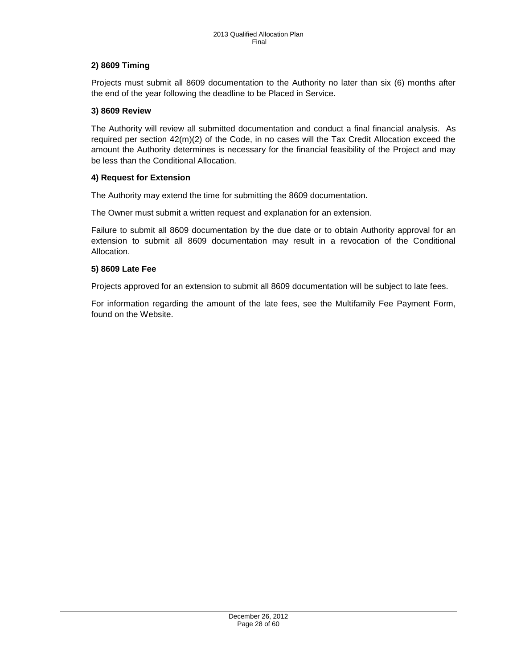## **2) 8609 Timing**

Projects must submit all 8609 documentation to the Authority no later than six (6) months after the end of the year following the deadline to be Placed in Service.

### **3) 8609 Review**

The Authority will review all submitted documentation and conduct a final financial analysis. As required per section 42(m)(2) of the Code, in no cases will the Tax Credit Allocation exceed the amount the Authority determines is necessary for the financial feasibility of the Project and may be less than the Conditional Allocation.

### **4) Request for Extension**

The Authority may extend the time for submitting the 8609 documentation.

The Owner must submit a written request and explanation for an extension.

Failure to submit all 8609 documentation by the due date or to obtain Authority approval for an extension to submit all 8609 documentation may result in a revocation of the Conditional Allocation.

### **5) 8609 Late Fee**

Projects approved for an extension to submit all 8609 documentation will be subject to late fees.

For information regarding the amount of the late fees, see the Multifamily Fee Payment Form, found on the Website.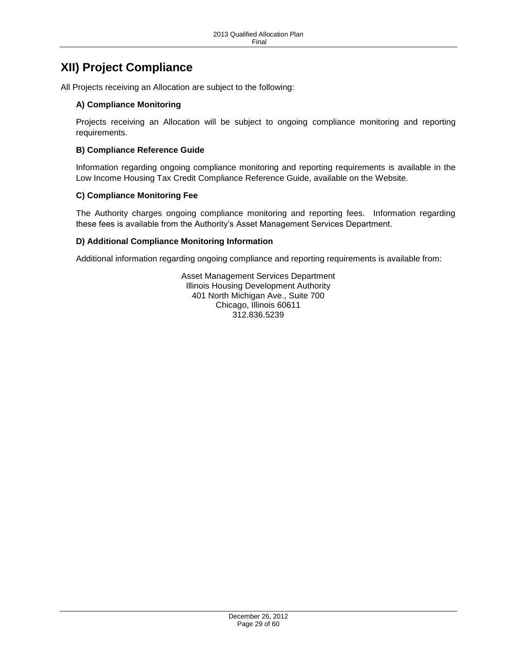# <span id="page-28-0"></span>**XII) Project Compliance**

<span id="page-28-1"></span>All Projects receiving an Allocation are subject to the following:

# **A) Compliance Monitoring**

Projects receiving an Allocation will be subject to ongoing compliance monitoring and reporting requirements.

# <span id="page-28-2"></span>**B) Compliance Reference Guide**

Information regarding ongoing compliance monitoring and reporting requirements is available in the Low Income Housing Tax Credit Compliance Reference Guide, available on the Website.

# <span id="page-28-3"></span>**C) Compliance Monitoring Fee**

The Authority charges ongoing compliance monitoring and reporting fees. Information regarding these fees is available from the Authority's Asset Management Services Department.

# <span id="page-28-4"></span>**D) Additional Compliance Monitoring Information**

Additional information regarding ongoing compliance and reporting requirements is available from:

Asset Management Services Department Illinois Housing Development Authority 401 North Michigan Ave., Suite 700 Chicago, Illinois 60611 312.836.5239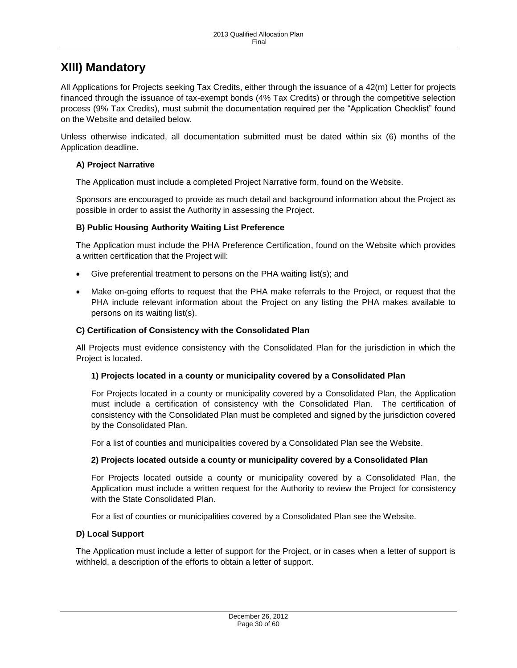# <span id="page-29-0"></span>**XIII) Mandatory**

All Applications for Projects seeking Tax Credits, either through the issuance of a 42(m) Letter for projects financed through the issuance of tax-exempt bonds (4% Tax Credits) or through the competitive selection process (9% Tax Credits), must submit the documentation required per the "Application Checklist" found on the Website and detailed below.

Unless otherwise indicated, all documentation submitted must be dated within six (6) months of the Application deadline.

### <span id="page-29-1"></span>**A) Project Narrative**

The Application must include a completed Project Narrative form, found on the Website.

Sponsors are encouraged to provide as much detail and background information about the Project as possible in order to assist the Authority in assessing the Project.

### <span id="page-29-2"></span>**B) Public Housing Authority Waiting List Preference**

The Application must include the PHA Preference Certification, found on the Website which provides a written certification that the Project will:

- Give preferential treatment to persons on the PHA waiting list(s); and
- Make on-going efforts to request that the PHA make referrals to the Project, or request that the PHA include relevant information about the Project on any listing the PHA makes available to persons on its waiting list(s).

## <span id="page-29-3"></span>**C) Certification of Consistency with the Consolidated Plan**

All Projects must evidence consistency with the Consolidated Plan for the jurisdiction in which the Project is located.

### **1) Projects located in a county or municipality covered by a Consolidated Plan**

For Projects located in a county or municipality covered by a Consolidated Plan, the Application must include a certification of consistency with the Consolidated Plan. The certification of consistency with the Consolidated Plan must be completed and signed by the jurisdiction covered by the Consolidated Plan.

For a list of counties and municipalities covered by a Consolidated Plan see the Website.

### **2) Projects located outside a county or municipality covered by a Consolidated Plan**

For Projects located outside a county or municipality covered by a Consolidated Plan, the Application must include a written request for the Authority to review the Project for consistency with the State Consolidated Plan.

For a list of counties or municipalities covered by a Consolidated Plan see the Website.

### <span id="page-29-4"></span>**D) Local Support**

The Application must include a letter of support for the Project, or in cases when a letter of support is withheld, a description of the efforts to obtain a letter of support.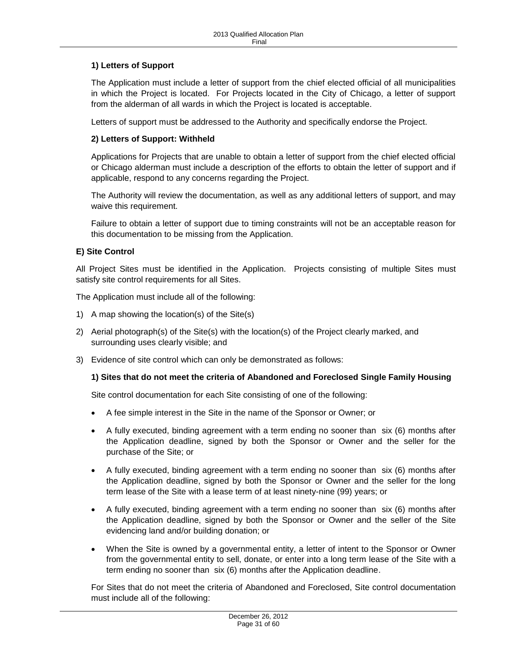# **1) Letters of Support**

The Application must include a letter of support from the chief elected official of all municipalities in which the Project is located. For Projects located in the City of Chicago, a letter of support from the alderman of all wards in which the Project is located is acceptable.

Letters of support must be addressed to the Authority and specifically endorse the Project.

### **2) Letters of Support: Withheld**

Applications for Projects that are unable to obtain a letter of support from the chief elected official or Chicago alderman must include a description of the efforts to obtain the letter of support and if applicable, respond to any concerns regarding the Project.

The Authority will review the documentation, as well as any additional letters of support, and may waive this requirement.

Failure to obtain a letter of support due to timing constraints will not be an acceptable reason for this documentation to be missing from the Application.

#### <span id="page-30-0"></span>**E) Site Control**

All Project Sites must be identified in the Application. Projects consisting of multiple Sites must satisfy site control requirements for all Sites.

The Application must include all of the following:

- 1) A map showing the location(s) of the Site(s)
- 2) Aerial photograph(s) of the Site(s) with the location(s) of the Project clearly marked, and surrounding uses clearly visible; and
- 3) Evidence of site control which can only be demonstrated as follows:

#### **1) Sites that do not meet the criteria of Abandoned and Foreclosed Single Family Housing**

Site control documentation for each Site consisting of one of the following:

- A fee simple interest in the Site in the name of the Sponsor or Owner; or
- A fully executed, binding agreement with a term ending no sooner than six (6) months after the Application deadline, signed by both the Sponsor or Owner and the seller for the purchase of the Site; or
- A fully executed, binding agreement with a term ending no sooner than six (6) months after the Application deadline, signed by both the Sponsor or Owner and the seller for the long term lease of the Site with a lease term of at least ninety-nine (99) years; or
- A fully executed, binding agreement with a term ending no sooner than six (6) months after the Application deadline, signed by both the Sponsor or Owner and the seller of the Site evidencing land and/or building donation; or
- When the Site is owned by a governmental entity, a letter of intent to the Sponsor or Owner from the governmental entity to sell, donate, or enter into a long term lease of the Site with a term ending no sooner than six (6) months after the Application deadline.

For Sites that do not meet the criteria of Abandoned and Foreclosed, Site control documentation must include all of the following: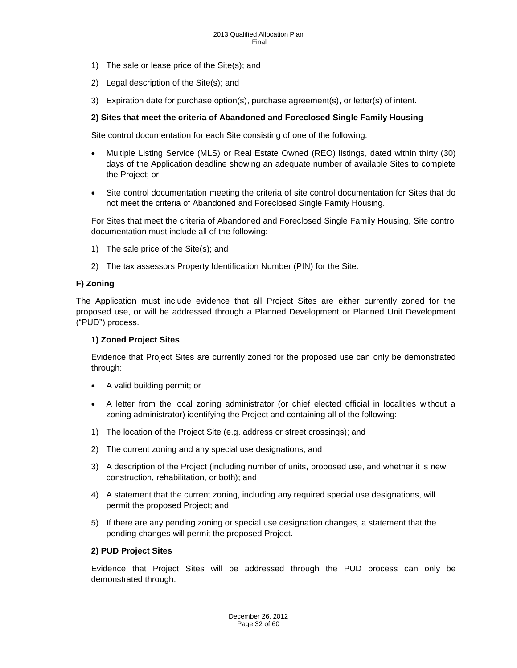- 1) The sale or lease price of the Site(s); and
- 2) Legal description of the Site(s); and
- 3) Expiration date for purchase option(s), purchase agreement(s), or letter(s) of intent.

#### **2) Sites that meet the criteria of Abandoned and Foreclosed Single Family Housing**

Site control documentation for each Site consisting of one of the following:

- Multiple Listing Service (MLS) or Real Estate Owned (REO) listings, dated within thirty (30) days of the Application deadline showing an adequate number of available Sites to complete the Project; or
- Site control documentation meeting the criteria of site control documentation for Sites that do not meet the criteria of Abandoned and Foreclosed Single Family Housing.

For Sites that meet the criteria of Abandoned and Foreclosed Single Family Housing, Site control documentation must include all of the following:

- 1) The sale price of the Site(s); and
- 2) The tax assessors Property Identification Number (PIN) for the Site.

### <span id="page-31-0"></span>**F) Zoning**

The Application must include evidence that all Project Sites are either currently zoned for the proposed use, or will be addressed through a Planned Development or Planned Unit Development ("PUD") process.

#### **1) Zoned Project Sites**

Evidence that Project Sites are currently zoned for the proposed use can only be demonstrated through:

- A valid building permit; or
- A letter from the local zoning administrator (or chief elected official in localities without a zoning administrator) identifying the Project and containing all of the following:
- 1) The location of the Project Site (e.g. address or street crossings); and
- 2) The current zoning and any special use designations; and
- 3) A description of the Project (including number of units, proposed use, and whether it is new construction, rehabilitation, or both); and
- 4) A statement that the current zoning, including any required special use designations, will permit the proposed Project; and
- 5) If there are any pending zoning or special use designation changes, a statement that the pending changes will permit the proposed Project.

#### **2) PUD Project Sites**

Evidence that Project Sites will be addressed through the PUD process can only be demonstrated through: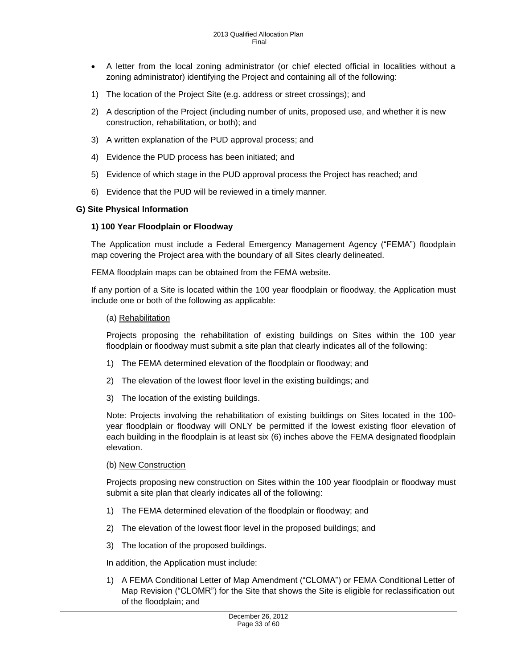- A letter from the local zoning administrator (or chief elected official in localities without a zoning administrator) identifying the Project and containing all of the following:
- 1) The location of the Project Site (e.g. address or street crossings); and
- 2) A description of the Project (including number of units, proposed use, and whether it is new construction, rehabilitation, or both); and
- 3) A written explanation of the PUD approval process; and
- 4) Evidence the PUD process has been initiated; and
- 5) Evidence of which stage in the PUD approval process the Project has reached; and
- 6) Evidence that the PUD will be reviewed in a timely manner.

#### <span id="page-32-0"></span>**G) Site Physical Information**

#### **1) 100 Year Floodplain or Floodway**

The Application must include a Federal Emergency Management Agency ("FEMA") floodplain map covering the Project area with the boundary of all Sites clearly delineated.

FEMA floodplain maps can be obtained from the FEMA website.

If any portion of a Site is located within the 100 year floodplain or floodway, the Application must include one or both of the following as applicable:

(a) Rehabilitation

Projects proposing the rehabilitation of existing buildings on Sites within the 100 year floodplain or floodway must submit a site plan that clearly indicates all of the following:

- 1) The FEMA determined elevation of the floodplain or floodway; and
- 2) The elevation of the lowest floor level in the existing buildings; and
- 3) The location of the existing buildings.

Note: Projects involving the rehabilitation of existing buildings on Sites located in the 100 year floodplain or floodway will ONLY be permitted if the lowest existing floor elevation of each building in the floodplain is at least six (6) inches above the FEMA designated floodplain elevation.

#### (b) New Construction

Projects proposing new construction on Sites within the 100 year floodplain or floodway must submit a site plan that clearly indicates all of the following:

- 1) The FEMA determined elevation of the floodplain or floodway; and
- 2) The elevation of the lowest floor level in the proposed buildings; and
- 3) The location of the proposed buildings.

In addition, the Application must include:

1) A FEMA Conditional Letter of Map Amendment ("CLOMA") or FEMA Conditional Letter of Map Revision ("CLOMR") for the Site that shows the Site is eligible for reclassification out of the floodplain; and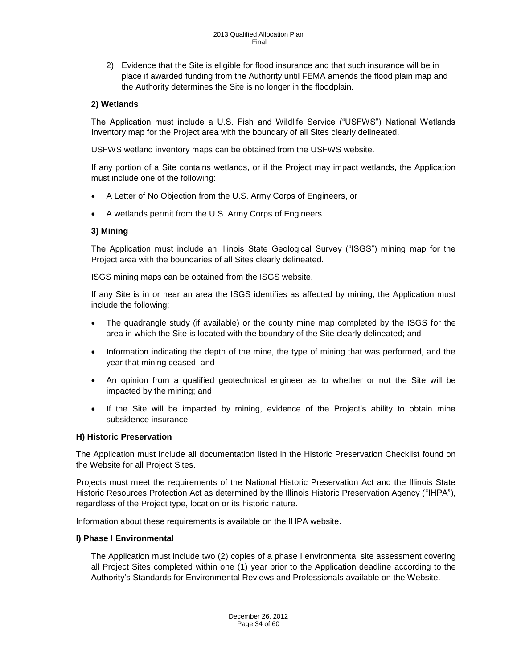2) Evidence that the Site is eligible for flood insurance and that such insurance will be in place if awarded funding from the Authority until FEMA amends the flood plain map and the Authority determines the Site is no longer in the floodplain.

# **2) Wetlands**

The Application must include a U.S. Fish and Wildlife Service ("USFWS") National Wetlands Inventory map for the Project area with the boundary of all Sites clearly delineated.

USFWS wetland inventory maps can be obtained from the USFWS website.

If any portion of a Site contains wetlands, or if the Project may impact wetlands, the Application must include one of the following:

- A Letter of No Objection from the U.S. Army Corps of Engineers, or
- A wetlands permit from the U.S. Army Corps of Engineers

### **3) Mining**

The Application must include an Illinois State Geological Survey ("ISGS") mining map for the Project area with the boundaries of all Sites clearly delineated.

ISGS mining maps can be obtained from the ISGS website.

If any Site is in or near an area the ISGS identifies as affected by mining, the Application must include the following:

- The quadrangle study (if available) or the county mine map completed by the ISGS for the area in which the Site is located with the boundary of the Site clearly delineated; and
- Information indicating the depth of the mine, the type of mining that was performed, and the year that mining ceased; and
- An opinion from a qualified geotechnical engineer as to whether or not the Site will be impacted by the mining; and
- If the Site will be impacted by mining, evidence of the Project's ability to obtain mine subsidence insurance.

# <span id="page-33-0"></span>**H) Historic Preservation**

The Application must include all documentation listed in the Historic Preservation Checklist found on the Website for all Project Sites.

Projects must meet the requirements of the National Historic Preservation Act and the Illinois State Historic Resources Protection Act as determined by the Illinois Historic Preservation Agency ("IHPA"), regardless of the Project type, location or its historic nature.

Information about these requirements is available on the IHPA website.

### <span id="page-33-1"></span>**I) Phase I Environmental**

The Application must include two (2) copies of a phase I environmental site assessment covering all Project Sites completed within one (1) year prior to the Application deadline according to the Authority's Standards for Environmental Reviews and Professionals available on the Website.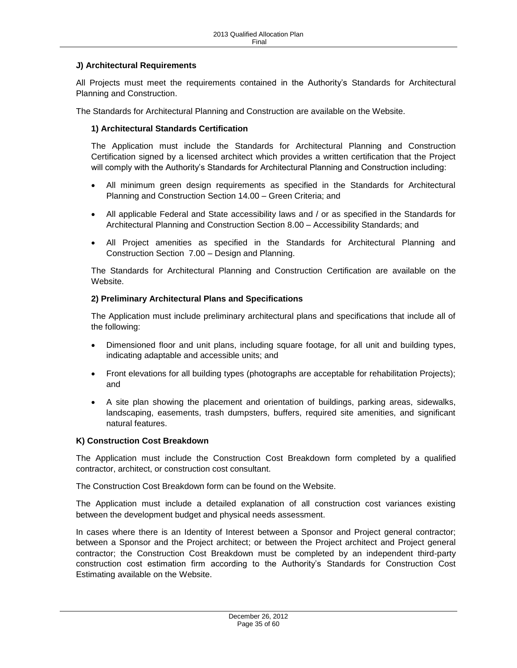# <span id="page-34-0"></span>**J) Architectural Requirements**

All Projects must meet the requirements contained in the Authority's Standards for Architectural Planning and Construction.

The Standards for Architectural Planning and Construction are available on the Website.

#### **1) Architectural Standards Certification**

The Application must include the Standards for Architectural Planning and Construction Certification signed by a licensed architect which provides a written certification that the Project will comply with the Authority's Standards for Architectural Planning and Construction including:

- All minimum green design requirements as specified in the Standards for Architectural Planning and Construction Section 14.00 – Green Criteria; and
- All applicable Federal and State accessibility laws and / or as specified in the Standards for Architectural Planning and Construction Section 8.00 – Accessibility Standards; and
- All Project amenities as specified in the Standards for Architectural Planning and Construction Section 7.00 – Design and Planning.

The Standards for Architectural Planning and Construction Certification are available on the Website.

#### **2) Preliminary Architectural Plans and Specifications**

The Application must include preliminary architectural plans and specifications that include all of the following:

- Dimensioned floor and unit plans, including square footage, for all unit and building types, indicating adaptable and accessible units; and
- Front elevations for all building types (photographs are acceptable for rehabilitation Projects); and
- A site plan showing the placement and orientation of buildings, parking areas, sidewalks, landscaping, easements, trash dumpsters, buffers, required site amenities, and significant natural features.

#### <span id="page-34-1"></span>**K) Construction Cost Breakdown**

The Application must include the Construction Cost Breakdown form completed by a qualified contractor, architect, or construction cost consultant.

The Construction Cost Breakdown form can be found on the Website.

The Application must include a detailed explanation of all construction cost variances existing between the development budget and physical needs assessment.

In cases where there is an Identity of Interest between a Sponsor and Project general contractor; between a Sponsor and the Project architect; or between the Project architect and Project general contractor; the Construction Cost Breakdown must be completed by an independent third-party construction cost estimation firm according to the Authority's Standards for Construction Cost Estimating available on the Website.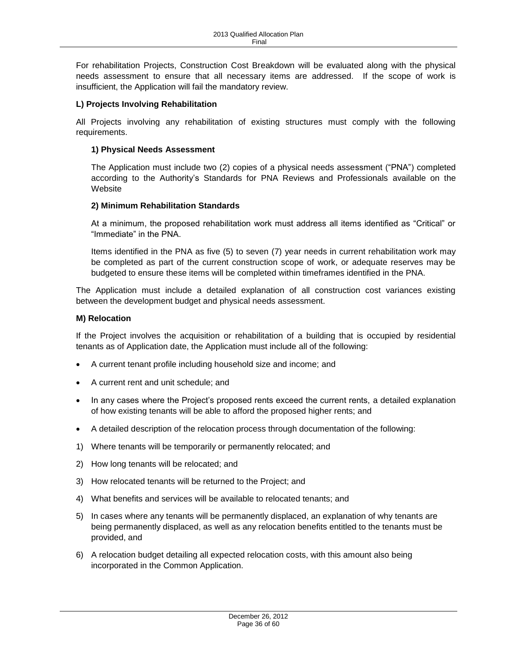For rehabilitation Projects, Construction Cost Breakdown will be evaluated along with the physical needs assessment to ensure that all necessary items are addressed. If the scope of work is insufficient, the Application will fail the mandatory review.

# <span id="page-35-0"></span>**L) Projects Involving Rehabilitation**

All Projects involving any rehabilitation of existing structures must comply with the following requirements.

## **1) Physical Needs Assessment**

The Application must include two (2) copies of a physical needs assessment ("PNA") completed according to the Authority's Standards for PNA Reviews and Professionals available on the **Website** 

# **2) Minimum Rehabilitation Standards**

At a minimum, the proposed rehabilitation work must address all items identified as "Critical" or "Immediate" in the PNA.

Items identified in the PNA as five (5) to seven (7) year needs in current rehabilitation work may be completed as part of the current construction scope of work, or adequate reserves may be budgeted to ensure these items will be completed within timeframes identified in the PNA.

The Application must include a detailed explanation of all construction cost variances existing between the development budget and physical needs assessment.

### <span id="page-35-1"></span>**M) Relocation**

If the Project involves the acquisition or rehabilitation of a building that is occupied by residential tenants as of Application date, the Application must include all of the following:

- A current tenant profile including household size and income; and
- A current rent and unit schedule; and
- In any cases where the Project's proposed rents exceed the current rents, a detailed explanation of how existing tenants will be able to afford the proposed higher rents; and
- A detailed description of the relocation process through documentation of the following:
- 1) Where tenants will be temporarily or permanently relocated; and
- 2) How long tenants will be relocated; and
- 3) How relocated tenants will be returned to the Project; and
- 4) What benefits and services will be available to relocated tenants; and
- 5) In cases where any tenants will be permanently displaced, an explanation of why tenants are being permanently displaced, as well as any relocation benefits entitled to the tenants must be provided, and
- 6) A relocation budget detailing all expected relocation costs, with this amount also being incorporated in the Common Application.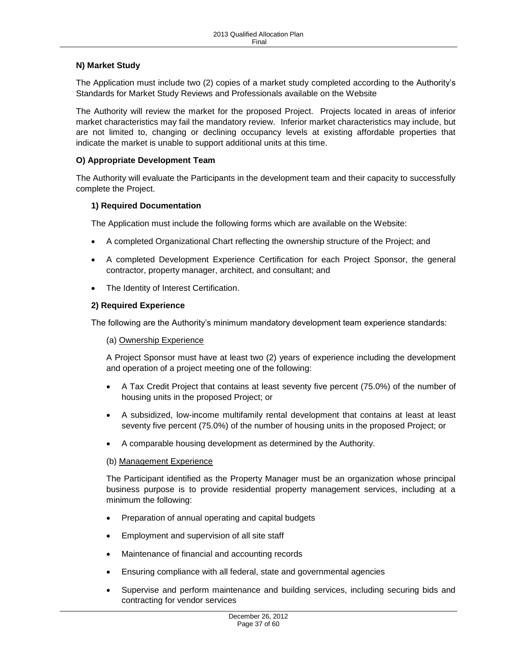# <span id="page-36-0"></span>**N) Market Study**

The Application must include two (2) copies of a market study completed according to the Authority's Standards for Market Study Reviews and Professionals available on the Website

The Authority will review the market for the proposed Project. Projects located in areas of inferior market characteristics may fail the mandatory review. Inferior market characteristics may include, but are not limited to, changing or declining occupancy levels at existing affordable properties that indicate the market is unable to support additional units at this time.

### <span id="page-36-1"></span>**O) Appropriate Development Team**

The Authority will evaluate the Participants in the development team and their capacity to successfully complete the Project.

### **1) Required Documentation**

The Application must include the following forms which are available on the Website:

- A completed Organizational Chart reflecting the ownership structure of the Project; and
- A completed Development Experience Certification for each Project Sponsor, the general contractor, property manager, architect, and consultant; and
- The Identity of Interest Certification.

### **2) Required Experience**

The following are the Authority's minimum mandatory development team experience standards:

#### (a) Ownership Experience

A Project Sponsor must have at least two (2) years of experience including the development and operation of a project meeting one of the following:

- A Tax Credit Project that contains at least seventy five percent (75.0%) of the number of housing units in the proposed Project; or
- A subsidized, low-income multifamily rental development that contains at least at least seventy five percent (75.0%) of the number of housing units in the proposed Project; or
- A comparable housing development as determined by the Authority.

#### (b) Management Experience

The Participant identified as the Property Manager must be an organization whose principal business purpose is to provide residential property management services, including at a minimum the following:

- Preparation of annual operating and capital budgets
- Employment and supervision of all site staff
- Maintenance of financial and accounting records
- Ensuring compliance with all federal, state and governmental agencies
- Supervise and perform maintenance and building services, including securing bids and contracting for vendor services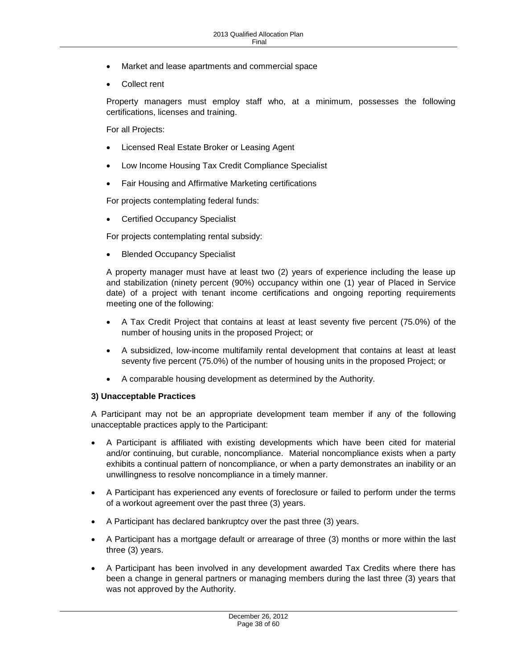- Market and lease apartments and commercial space
- Collect rent

Property managers must employ staff who, at a minimum, possesses the following certifications, licenses and training.

For all Projects:

- Licensed Real Estate Broker or Leasing Agent
- Low Income Housing Tax Credit Compliance Specialist
- Fair Housing and Affirmative Marketing certifications

For projects contemplating federal funds:

Certified Occupancy Specialist

For projects contemplating rental subsidy:

Blended Occupancy Specialist

A property manager must have at least two (2) years of experience including the lease up and stabilization (ninety percent (90%) occupancy within one (1) year of Placed in Service date) of a project with tenant income certifications and ongoing reporting requirements meeting one of the following:

- A Tax Credit Project that contains at least at least seventy five percent (75.0%) of the number of housing units in the proposed Project; or
- A subsidized, low-income multifamily rental development that contains at least at least seventy five percent (75.0%) of the number of housing units in the proposed Project; or
- A comparable housing development as determined by the Authority.

### **3) Unacceptable Practices**

A Participant may not be an appropriate development team member if any of the following unacceptable practices apply to the Participant:

- A Participant is affiliated with existing developments which have been cited for material and/or continuing, but curable, noncompliance. Material noncompliance exists when a party exhibits a continual pattern of noncompliance, or when a party demonstrates an inability or an unwillingness to resolve noncompliance in a timely manner.
- A Participant has experienced any events of foreclosure or failed to perform under the terms of a workout agreement over the past three (3) years.
- A Participant has declared bankruptcy over the past three (3) years.
- A Participant has a mortgage default or arrearage of three (3) months or more within the last three (3) years.
- A Participant has been involved in any development awarded Tax Credits where there has been a change in general partners or managing members during the last three (3) years that was not approved by the Authority.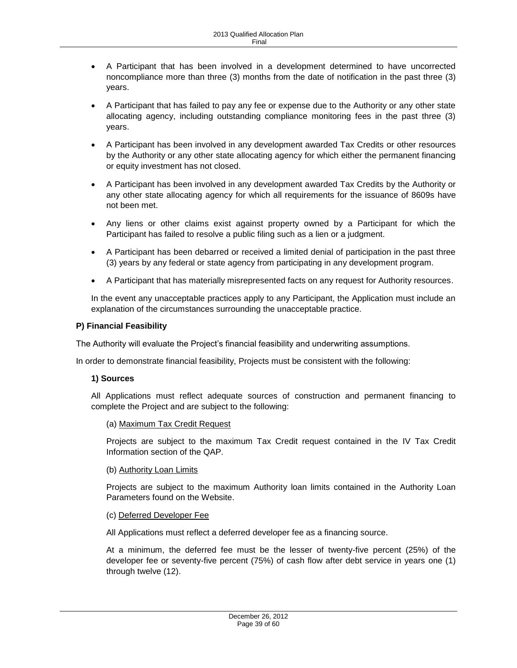- A Participant that has been involved in a development determined to have uncorrected noncompliance more than three (3) months from the date of notification in the past three (3) years.
- A Participant that has failed to pay any fee or expense due to the Authority or any other state allocating agency, including outstanding compliance monitoring fees in the past three (3) years.
- A Participant has been involved in any development awarded Tax Credits or other resources by the Authority or any other state allocating agency for which either the permanent financing or equity investment has not closed.
- A Participant has been involved in any development awarded Tax Credits by the Authority or any other state allocating agency for which all requirements for the issuance of 8609s have not been met.
- Any liens or other claims exist against property owned by a Participant for which the Participant has failed to resolve a public filing such as a lien or a judgment.
- A Participant has been debarred or received a limited denial of participation in the past three (3) years by any federal or state agency from participating in any development program.
- A Participant that has materially misrepresented facts on any request for Authority resources.

In the event any unacceptable practices apply to any Participant, the Application must include an explanation of the circumstances surrounding the unacceptable practice.

### <span id="page-38-0"></span>**P) Financial Feasibility**

The Authority will evaluate the Project's financial feasibility and underwriting assumptions.

In order to demonstrate financial feasibility, Projects must be consistent with the following:

### **1) Sources**

All Applications must reflect adequate sources of construction and permanent financing to complete the Project and are subject to the following:

### (a) Maximum Tax Credit Request

Projects are subject to the maximum Tax Credit request contained in the IV Tax Credit Information section of the QAP.

### (b) Authority Loan Limits

Projects are subject to the maximum Authority loan limits contained in the Authority Loan Parameters found on the Website.

### (c) Deferred Developer Fee

All Applications must reflect a deferred developer fee as a financing source.

At a minimum, the deferred fee must be the lesser of twenty-five percent (25%) of the developer fee or seventy-five percent (75%) of cash flow after debt service in years one (1) through twelve (12).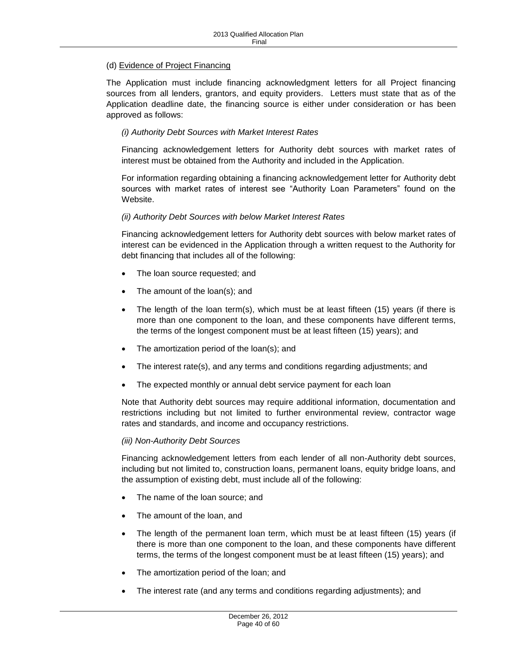# (d) Evidence of Project Financing

The Application must include financing acknowledgment letters for all Project financing sources from all lenders, grantors, and equity providers. Letters must state that as of the Application deadline date, the financing source is either under consideration or has been approved as follows:

### *(i) Authority Debt Sources with Market Interest Rates*

Financing acknowledgement letters for Authority debt sources with market rates of interest must be obtained from the Authority and included in the Application.

For information regarding obtaining a financing acknowledgement letter for Authority debt sources with market rates of interest see "Authority Loan Parameters" found on the Website.

#### *(ii) Authority Debt Sources with below Market Interest Rates*

Financing acknowledgement letters for Authority debt sources with below market rates of interest can be evidenced in the Application through a written request to the Authority for debt financing that includes all of the following:

- The loan source requested; and
- The amount of the loan(s); and
- The length of the loan term(s), which must be at least fifteen (15) years (if there is more than one component to the loan, and these components have different terms, the terms of the longest component must be at least fifteen (15) years); and
- The amortization period of the loan(s); and
- The interest rate(s), and any terms and conditions regarding adjustments; and
- The expected monthly or annual debt service payment for each loan

Note that Authority debt sources may require additional information, documentation and restrictions including but not limited to further environmental review, contractor wage rates and standards, and income and occupancy restrictions.

#### *(iii) Non-Authority Debt Sources*

Financing acknowledgement letters from each lender of all non-Authority debt sources, including but not limited to, construction loans, permanent loans, equity bridge loans, and the assumption of existing debt, must include all of the following:

- The name of the loan source; and
- The amount of the loan, and
- The length of the permanent loan term, which must be at least fifteen (15) years (if there is more than one component to the loan, and these components have different terms, the terms of the longest component must be at least fifteen (15) years); and
- The amortization period of the loan; and
- The interest rate (and any terms and conditions regarding adjustments); and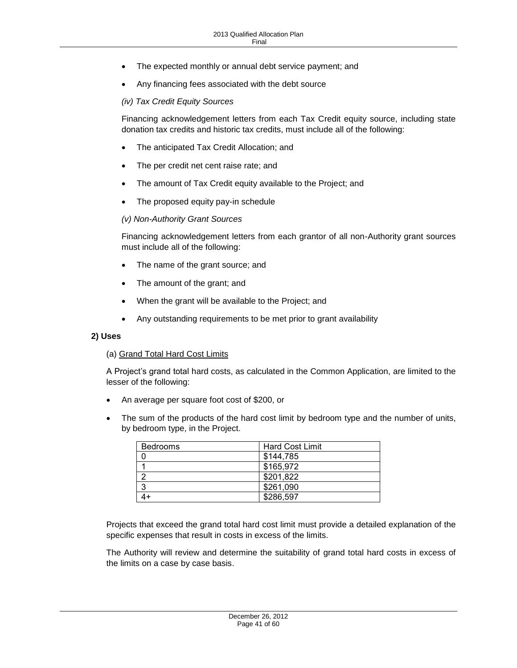- The expected monthly or annual debt service payment; and
- Any financing fees associated with the debt source

#### *(iv) Tax Credit Equity Sources*

Financing acknowledgement letters from each Tax Credit equity source, including state donation tax credits and historic tax credits, must include all of the following:

- The anticipated Tax Credit Allocation; and
- The per credit net cent raise rate; and
- The amount of Tax Credit equity available to the Project; and
- The proposed equity pay-in schedule

#### *(v) Non-Authority Grant Sources*

Financing acknowledgement letters from each grantor of all non-Authority grant sources must include all of the following:

- The name of the grant source; and
- The amount of the grant; and
- When the grant will be available to the Project; and
- Any outstanding requirements to be met prior to grant availability

#### **2) Uses**

#### (a) Grand Total Hard Cost Limits

A Project's grand total hard costs, as calculated in the Common Application, are limited to the lesser of the following:

- An average per square foot cost of \$200, or
- The sum of the products of the hard cost limit by bedroom type and the number of units, by bedroom type, in the Project.

| <b>Bedrooms</b> | <b>Hard Cost Limit</b> |
|-----------------|------------------------|
|                 | \$144,785              |
|                 | \$165,972              |
|                 | \$201,822              |
| -3              | \$261,090              |
|                 | \$286,597              |

Projects that exceed the grand total hard cost limit must provide a detailed explanation of the specific expenses that result in costs in excess of the limits.

The Authority will review and determine the suitability of grand total hard costs in excess of the limits on a case by case basis.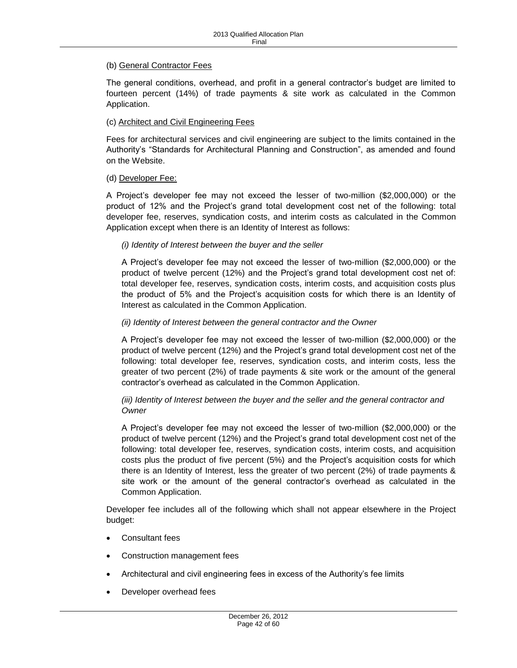#### (b) General Contractor Fees

The general conditions, overhead, and profit in a general contractor's budget are limited to fourteen percent (14%) of trade payments & site work as calculated in the Common Application.

#### (c) Architect and Civil Engineering Fees

Fees for architectural services and civil engineering are subject to the limits contained in the Authority's "Standards for Architectural Planning and Construction", as amended and found on the Website.

#### (d) Developer Fee:

A Project's developer fee may not exceed the lesser of two-million (\$2,000,000) or the product of 12% and the Project's grand total development cost net of the following: total developer fee, reserves, syndication costs, and interim costs as calculated in the Common Application except when there is an Identity of Interest as follows:

#### *(i) Identity of Interest between the buyer and the seller*

A Project's developer fee may not exceed the lesser of two-million (\$2,000,000) or the product of twelve percent (12%) and the Project's grand total development cost net of: total developer fee, reserves, syndication costs, interim costs, and acquisition costs plus the product of 5% and the Project's acquisition costs for which there is an Identity of Interest as calculated in the Common Application.

#### *(ii) Identity of Interest between the general contractor and the Owner*

A Project's developer fee may not exceed the lesser of two-million (\$2,000,000) or the product of twelve percent (12%) and the Project's grand total development cost net of the following: total developer fee, reserves, syndication costs, and interim costs, less the greater of two percent (2%) of trade payments & site work or the amount of the general contractor's overhead as calculated in the Common Application.

### *(iii) Identity of Interest between the buyer and the seller and the general contractor and Owner*

A Project's developer fee may not exceed the lesser of two-million (\$2,000,000) or the product of twelve percent (12%) and the Project's grand total development cost net of the following: total developer fee, reserves, syndication costs, interim costs, and acquisition costs plus the product of five percent (5%) and the Project's acquisition costs for which there is an Identity of Interest, less the greater of two percent (2%) of trade payments & site work or the amount of the general contractor's overhead as calculated in the Common Application.

Developer fee includes all of the following which shall not appear elsewhere in the Project budget:

- Consultant fees
- Construction management fees
- Architectural and civil engineering fees in excess of the Authority's fee limits
- Developer overhead fees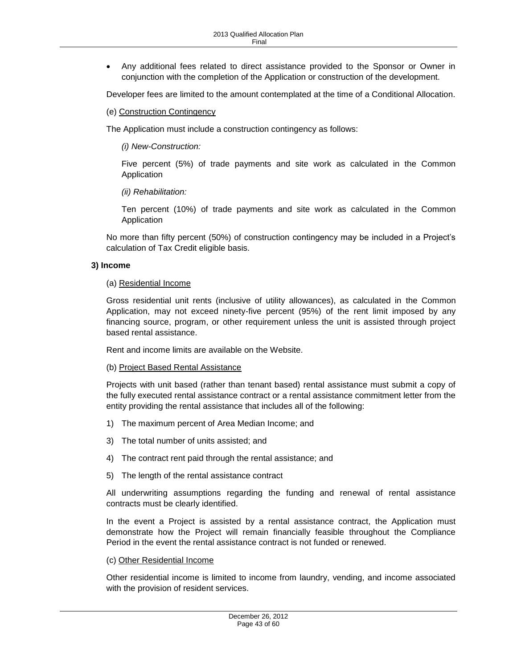Any additional fees related to direct assistance provided to the Sponsor or Owner in conjunction with the completion of the Application or construction of the development.

Developer fees are limited to the amount contemplated at the time of a Conditional Allocation.

(e) Construction Contingency

The Application must include a construction contingency as follows:

*(i) New-Construction:* 

Five percent (5%) of trade payments and site work as calculated in the Common Application

*(ii) Rehabilitation:* 

Ten percent (10%) of trade payments and site work as calculated in the Common Application

No more than fifty percent (50%) of construction contingency may be included in a Project's calculation of Tax Credit eligible basis.

#### **3) Income**

#### (a) Residential Income

Gross residential unit rents (inclusive of utility allowances), as calculated in the Common Application, may not exceed ninety-five percent (95%) of the rent limit imposed by any financing source, program, or other requirement unless the unit is assisted through project based rental assistance.

Rent and income limits are available on the Website.

#### (b) Project Based Rental Assistance

Projects with unit based (rather than tenant based) rental assistance must submit a copy of the fully executed rental assistance contract or a rental assistance commitment letter from the entity providing the rental assistance that includes all of the following:

- 1) The maximum percent of Area Median Income; and
- 3) The total number of units assisted; and
- 4) The contract rent paid through the rental assistance; and
- 5) The length of the rental assistance contract

All underwriting assumptions regarding the funding and renewal of rental assistance contracts must be clearly identified.

In the event a Project is assisted by a rental assistance contract, the Application must demonstrate how the Project will remain financially feasible throughout the Compliance Period in the event the rental assistance contract is not funded or renewed.

#### (c) Other Residential Income

Other residential income is limited to income from laundry, vending, and income associated with the provision of resident services.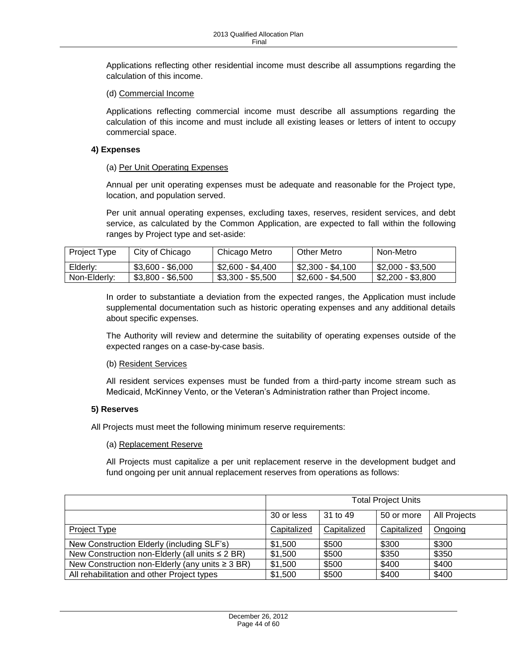Applications reflecting other residential income must describe all assumptions regarding the calculation of this income.

#### (d) Commercial Income

Applications reflecting commercial income must describe all assumptions regarding the calculation of this income and must include all existing leases or letters of intent to occupy commercial space.

#### **4) Expenses**

#### (a) Per Unit Operating Expenses

Annual per unit operating expenses must be adequate and reasonable for the Project type, location, and population served.

Per unit annual operating expenses, excluding taxes, reserves, resident services, and debt service, as calculated by the Common Application, are expected to fall within the following ranges by Project type and set-aside:

| <b>Project Type</b> | City of Chicago   | Chicago Metro     | Other Metro       | Non-Metro         |
|---------------------|-------------------|-------------------|-------------------|-------------------|
| Elderly:            | $$3.600 - $6.000$ | \$2.600 - \$4.400 | \$2.300 - \$4.100 | \$2,000 - \$3,500 |
| Non-Elderly:        | $$3,800 - $6,500$ | $$3,300 - $5,500$ | \$2.600 - \$4.500 | \$2,200 - \$3,800 |

In order to substantiate a deviation from the expected ranges, the Application must include supplemental documentation such as historic operating expenses and any additional details about specific expenses.

The Authority will review and determine the suitability of operating expenses outside of the expected ranges on a case-by-case basis.

### (b) Resident Services

All resident services expenses must be funded from a third-party income stream such as Medicaid, McKinney Vento, or the Veteran's Administration rather than Project income.

### **5) Reserves**

All Projects must meet the following minimum reserve requirements:

#### (a) Replacement Reserve

All Projects must capitalize a per unit replacement reserve in the development budget and fund ongoing per unit annual replacement reserves from operations as follows:

|                                                      | <b>Total Project Units</b> |             |             |              |
|------------------------------------------------------|----------------------------|-------------|-------------|--------------|
|                                                      | 30 or less                 | 31 to 49    | 50 or more  | All Projects |
| Project Type                                         | Capitalized                | Capitalized | Capitalized | Ongoing      |
| New Construction Elderly (including SLF's)           | \$1,500                    | \$500       | \$300       | \$300        |
| New Construction non-Elderly (all units ≤ 2 BR)      | \$1,500                    | \$500       | \$350       | \$350        |
| New Construction non-Elderly (any units $\geq 3$ BR) | \$1,500                    | \$500       | \$400       | \$400        |
| All rehabilitation and other Project types           | \$1,500                    | \$500       | \$400       | \$400        |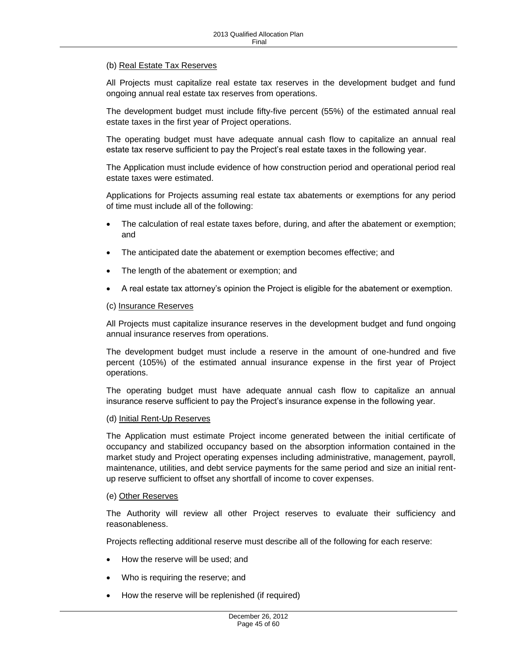#### (b) Real Estate Tax Reserves

All Projects must capitalize real estate tax reserves in the development budget and fund ongoing annual real estate tax reserves from operations.

The development budget must include fifty-five percent (55%) of the estimated annual real estate taxes in the first year of Project operations.

The operating budget must have adequate annual cash flow to capitalize an annual real estate tax reserve sufficient to pay the Project's real estate taxes in the following year.

The Application must include evidence of how construction period and operational period real estate taxes were estimated.

Applications for Projects assuming real estate tax abatements or exemptions for any period of time must include all of the following:

- The calculation of real estate taxes before, during, and after the abatement or exemption; and
- The anticipated date the abatement or exemption becomes effective; and
- The length of the abatement or exemption; and
- A real estate tax attorney's opinion the Project is eligible for the abatement or exemption.

#### (c) Insurance Reserves

All Projects must capitalize insurance reserves in the development budget and fund ongoing annual insurance reserves from operations.

The development budget must include a reserve in the amount of one-hundred and five percent (105%) of the estimated annual insurance expense in the first year of Project operations.

The operating budget must have adequate annual cash flow to capitalize an annual insurance reserve sufficient to pay the Project's insurance expense in the following year.

#### (d) Initial Rent-Up Reserves

The Application must estimate Project income generated between the initial certificate of occupancy and stabilized occupancy based on the absorption information contained in the market study and Project operating expenses including administrative, management, payroll, maintenance, utilities, and debt service payments for the same period and size an initial rentup reserve sufficient to offset any shortfall of income to cover expenses.

#### (e) Other Reserves

The Authority will review all other Project reserves to evaluate their sufficiency and reasonableness.

Projects reflecting additional reserve must describe all of the following for each reserve:

- How the reserve will be used; and
- Who is requiring the reserve; and
- How the reserve will be replenished (if required)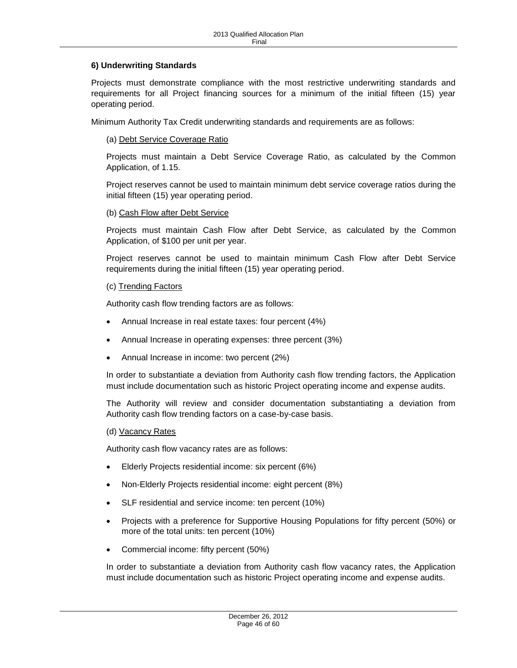### **6) Underwriting Standards**

Projects must demonstrate compliance with the most restrictive underwriting standards and requirements for all Project financing sources for a minimum of the initial fifteen (15) year operating period.

Minimum Authority Tax Credit underwriting standards and requirements are as follows:

#### (a) Debt Service Coverage Ratio

Projects must maintain a Debt Service Coverage Ratio, as calculated by the Common Application, of 1.15.

Project reserves cannot be used to maintain minimum debt service coverage ratios during the initial fifteen (15) year operating period.

#### (b) Cash Flow after Debt Service

Projects must maintain Cash Flow after Debt Service, as calculated by the Common Application, of \$100 per unit per year.

Project reserves cannot be used to maintain minimum Cash Flow after Debt Service requirements during the initial fifteen (15) year operating period.

#### (c) Trending Factors

Authority cash flow trending factors are as follows:

- Annual Increase in real estate taxes: four percent (4%)
- Annual Increase in operating expenses: three percent (3%)
- Annual Increase in income: two percent (2%)

In order to substantiate a deviation from Authority cash flow trending factors, the Application must include documentation such as historic Project operating income and expense audits.

The Authority will review and consider documentation substantiating a deviation from Authority cash flow trending factors on a case-by-case basis.

#### (d) Vacancy Rates

Authority cash flow vacancy rates are as follows:

- Elderly Projects residential income: six percent (6%)
- Non-Elderly Projects residential income: eight percent (8%)
- SLF residential and service income: ten percent (10%)
- Projects with a preference for Supportive Housing Populations for fifty percent (50%) or more of the total units: ten percent (10%)
- Commercial income: fifty percent (50%)

In order to substantiate a deviation from Authority cash flow vacancy rates, the Application must include documentation such as historic Project operating income and expense audits.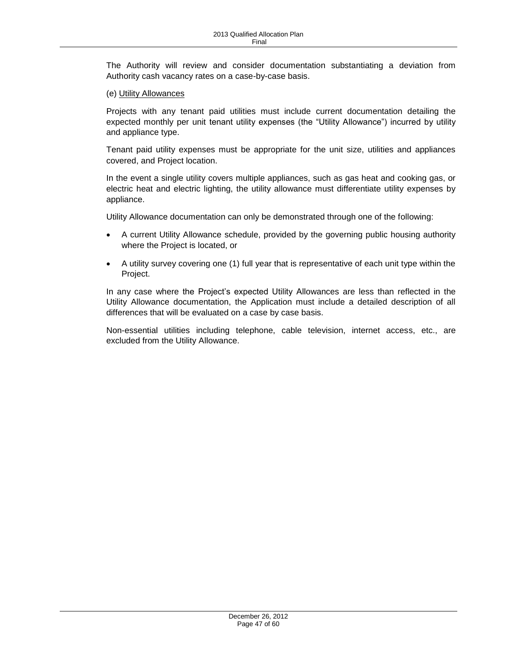The Authority will review and consider documentation substantiating a deviation from Authority cash vacancy rates on a case-by-case basis.

#### (e) Utility Allowances

Projects with any tenant paid utilities must include current documentation detailing the expected monthly per unit tenant utility expenses (the "Utility Allowance") incurred by utility and appliance type.

Tenant paid utility expenses must be appropriate for the unit size, utilities and appliances covered, and Project location.

In the event a single utility covers multiple appliances, such as gas heat and cooking gas, or electric heat and electric lighting, the utility allowance must differentiate utility expenses by appliance.

Utility Allowance documentation can only be demonstrated through one of the following:

- A current Utility Allowance schedule, provided by the governing public housing authority where the Project is located, or
- A utility survey covering one (1) full year that is representative of each unit type within the Project.

In any case where the Project's expected Utility Allowances are less than reflected in the Utility Allowance documentation, the Application must include a detailed description of all differences that will be evaluated on a case by case basis.

Non-essential utilities including telephone, cable television, internet access, etc., are excluded from the Utility Allowance.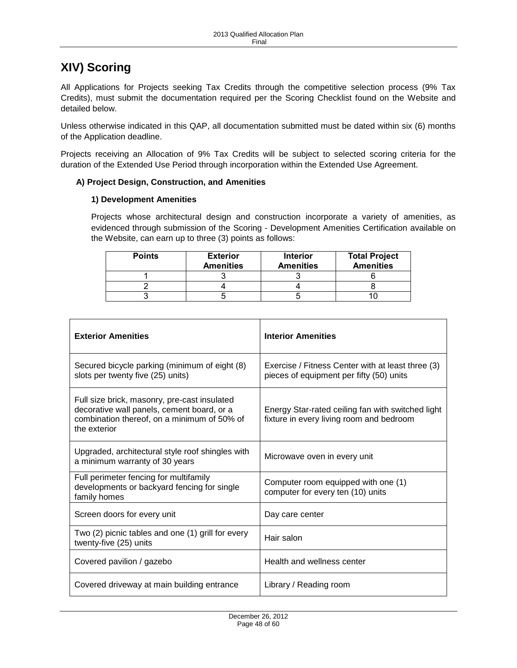# <span id="page-47-0"></span>**XIV) Scoring**

All Applications for Projects seeking Tax Credits through the competitive selection process (9% Tax Credits), must submit the documentation required per the Scoring Checklist found on the Website and detailed below.

Unless otherwise indicated in this QAP, all documentation submitted must be dated within six (6) months of the Application deadline.

Projects receiving an Allocation of 9% Tax Credits will be subject to selected scoring criteria for the duration of the Extended Use Period through incorporation within the Extended Use Agreement.

### <span id="page-47-1"></span>**A) Project Design, Construction, and Amenities**

### **1) Development Amenities**

Projects whose architectural design and construction incorporate a variety of amenities, as evidenced through submission of the Scoring - Development Amenities Certification available on the Website, can earn up to three (3) points as follows:

| <b>Points</b> | <b>Exterior</b><br><b>Amenities</b> | <b>Interior</b><br><b>Amenities</b> | <b>Total Project</b><br><b>Amenities</b> |
|---------------|-------------------------------------|-------------------------------------|------------------------------------------|
|               |                                     |                                     |                                          |
|               |                                     |                                     |                                          |
|               |                                     |                                     |                                          |

| <b>Exterior Amenities</b>                                                                                                                                 | <b>Interior Amenities</b>                                                                     |
|-----------------------------------------------------------------------------------------------------------------------------------------------------------|-----------------------------------------------------------------------------------------------|
| Secured bicycle parking (minimum of eight (8)<br>slots per twenty five (25) units)                                                                        | Exercise / Fitness Center with at least three (3)<br>pieces of equipment per fifty (50) units |
| Full size brick, masonry, pre-cast insulated<br>decorative wall panels, cement board, or a<br>combination thereof, on a minimum of 50% of<br>the exterior | Energy Star-rated ceiling fan with switched light<br>fixture in every living room and bedroom |
| Upgraded, architectural style roof shingles with<br>a minimum warranty of 30 years                                                                        | Microwave oven in every unit                                                                  |
| Full perimeter fencing for multifamily<br>developments or backyard fencing for single<br>family homes                                                     | Computer room equipped with one (1)<br>computer for every ten (10) units                      |
| Screen doors for every unit                                                                                                                               | Day care center                                                                               |
| Two (2) picnic tables and one (1) grill for every<br>twenty-five (25) units                                                                               | Hair salon                                                                                    |
| Covered pavilion / gazebo                                                                                                                                 | Health and wellness center                                                                    |
| Covered driveway at main building entrance                                                                                                                | Library / Reading room                                                                        |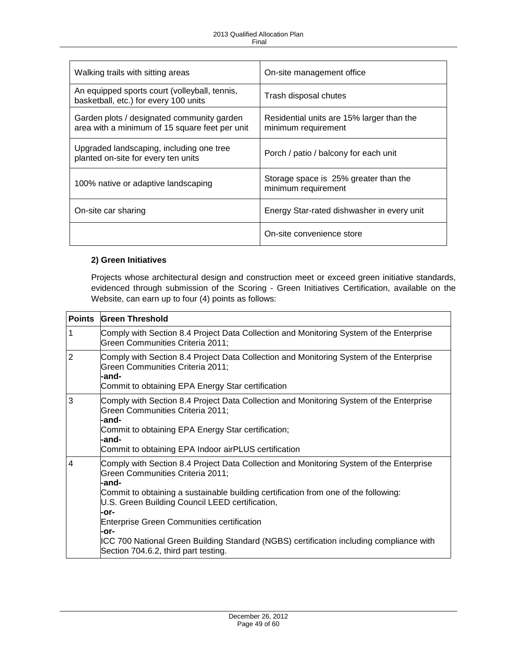| Walking trails with sitting areas                                                            | On-site management office                                        |
|----------------------------------------------------------------------------------------------|------------------------------------------------------------------|
| An equipped sports court (volleyball, tennis,<br>basketball, etc.) for every 100 units       | Trash disposal chutes                                            |
| Garden plots / designated community garden<br>area with a minimum of 15 square feet per unit | Residential units are 15% larger than the<br>minimum requirement |
| Upgraded landscaping, including one tree<br>planted on-site for every ten units              | Porch / patio / balcony for each unit                            |
| 100% native or adaptive landscaping                                                          | Storage space is 25% greater than the<br>minimum requirement     |
| On-site car sharing                                                                          | Energy Star-rated dishwasher in every unit                       |
|                                                                                              | On-site convenience store                                        |

# **2) Green Initiatives**

Projects whose architectural design and construction meet or exceed green initiative standards, evidenced through submission of the Scoring - Green Initiatives Certification, available on the Website, can earn up to four (4) points as follows:

| <b>Points</b> | <b>Green Threshold</b>                                                                                                                                                                                                                                                                                                                                                                                                                                                                 |
|---------------|----------------------------------------------------------------------------------------------------------------------------------------------------------------------------------------------------------------------------------------------------------------------------------------------------------------------------------------------------------------------------------------------------------------------------------------------------------------------------------------|
| 1             | Comply with Section 8.4 Project Data Collection and Monitoring System of the Enterprise<br>Green Communities Criteria 2011;                                                                                                                                                                                                                                                                                                                                                            |
| 2             | Comply with Section 8.4 Project Data Collection and Monitoring System of the Enterprise<br>Green Communities Criteria 2011;<br>-and-<br>Commit to obtaining EPA Energy Star certification                                                                                                                                                                                                                                                                                              |
| 3             | Comply with Section 8.4 Project Data Collection and Monitoring System of the Enterprise<br>Green Communities Criteria 2011;<br>-and-<br>Commit to obtaining EPA Energy Star certification;<br>-and-<br>Commit to obtaining EPA Indoor airPLUS certification                                                                                                                                                                                                                            |
| 4             | Comply with Section 8.4 Project Data Collection and Monitoring System of the Enterprise<br>Green Communities Criteria 2011;<br>-and-<br>Commit to obtaining a sustainable building certification from one of the following:<br>U.S. Green Building Council LEED certification,<br>-or-<br><b>Enterprise Green Communities certification</b><br>-or-<br>ICC 700 National Green Building Standard (NGBS) certification including compliance with<br>Section 704.6.2, third part testing. |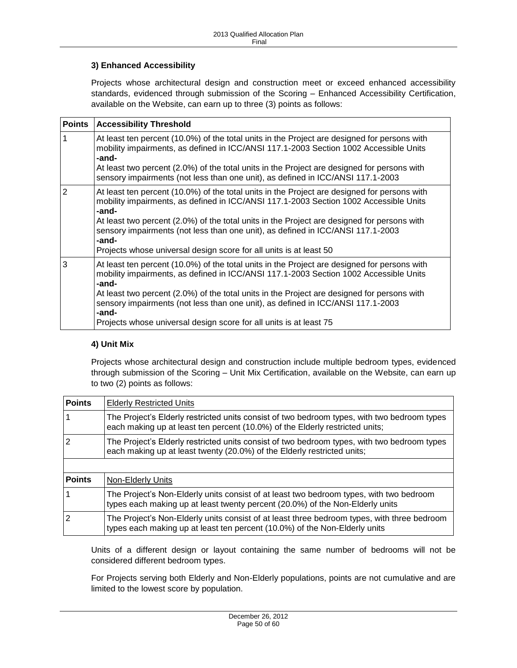# **3) Enhanced Accessibility**

Projects whose architectural design and construction meet or exceed enhanced accessibility standards, evidenced through submission of the Scoring – Enhanced Accessibility Certification, available on the Website, can earn up to three (3) points as follows:

| <b>Points</b>  | <b>Accessibility Threshold</b>                                                                                                                                                                                                                                                                                                                                                            |
|----------------|-------------------------------------------------------------------------------------------------------------------------------------------------------------------------------------------------------------------------------------------------------------------------------------------------------------------------------------------------------------------------------------------|
| 1              | At least ten percent (10.0%) of the total units in the Project are designed for persons with<br>mobility impairments, as defined in ICC/ANSI 117.1-2003 Section 1002 Accessible Units<br>-and-<br>At least two percent (2.0%) of the total units in the Project are designed for persons with                                                                                             |
|                | sensory impairments (not less than one unit), as defined in ICC/ANSI 117.1-2003                                                                                                                                                                                                                                                                                                           |
| $\overline{2}$ | At least ten percent (10.0%) of the total units in the Project are designed for persons with<br>mobility impairments, as defined in ICC/ANSI 117.1-2003 Section 1002 Accessible Units<br>-and-<br>At least two percent (2.0%) of the total units in the Project are designed for persons with<br>sensory impairments (not less than one unit), as defined in ICC/ANSI 117.1-2003<br>-and- |
|                | Projects whose universal design score for all units is at least 50                                                                                                                                                                                                                                                                                                                        |
| 3              | At least ten percent (10.0%) of the total units in the Project are designed for persons with<br>mobility impairments, as defined in ICC/ANSI 117.1-2003 Section 1002 Accessible Units<br>-and-                                                                                                                                                                                            |
|                | At least two percent (2.0%) of the total units in the Project are designed for persons with<br>sensory impairments (not less than one unit), as defined in ICC/ANSI 117.1-2003<br>-and-                                                                                                                                                                                                   |
|                | Projects whose universal design score for all units is at least 75                                                                                                                                                                                                                                                                                                                        |

### **4) Unit Mix**

Projects whose architectural design and construction include multiple bedroom types, evidenced through submission of the Scoring – Unit Mix Certification, available on the Website, can earn up to two (2) points as follows:

| <b>Points</b>  | <b>Elderly Restricted Units</b>                                                                                                                                             |
|----------------|-----------------------------------------------------------------------------------------------------------------------------------------------------------------------------|
|                | The Project's Elderly restricted units consist of two bedroom types, with two bedroom types<br>each making up at least ten percent (10.0%) of the Elderly restricted units; |
| 2              | The Project's Elderly restricted units consist of two bedroom types, with two bedroom types<br>each making up at least twenty (20.0%) of the Elderly restricted units;      |
|                |                                                                                                                                                                             |
| <b>Points</b>  | <b>Non-Elderly Units</b>                                                                                                                                                    |
|                | The Project's Non-Elderly units consist of at least two bedroom types, with two bedroom<br>types each making up at least twenty percent (20.0%) of the Non-Elderly units    |
| $\overline{2}$ | The Project's Non-Elderly units consist of at least three bedroom types, with three bedroom<br>types each making up at least ten percent (10.0%) of the Non-Elderly units   |

Units of a different design or layout containing the same number of bedrooms will not be considered different bedroom types.

For Projects serving both Elderly and Non-Elderly populations, points are not cumulative and are limited to the lowest score by population.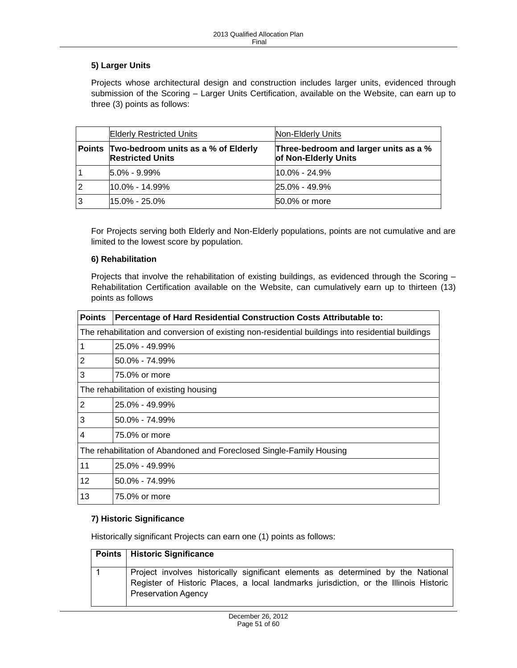# **5) Larger Units**

Projects whose architectural design and construction includes larger units, evidenced through submission of the Scoring – Larger Units Certification, available on the Website, can earn up to three (3) points as follows:

|                | <b>Elderly Restricted Units</b>                                | Non-Elderly Units                                             |
|----------------|----------------------------------------------------------------|---------------------------------------------------------------|
| Points         | Two-bedroom units as a % of Elderly<br><b>Restricted Units</b> | Three-bedroom and larger units as a %<br>of Non-Elderly Units |
|                | $5.0\% - 9.99\%$                                               | $10.0\% - 24.9\%$                                             |
| $\overline{2}$ | $10.0\% - 14.99\%$                                             | $25.0\% - 49.9\%$                                             |
| 3              | $15.0\% - 25.0\%$                                              | 50.0% or more                                                 |

For Projects serving both Elderly and Non-Elderly populations, points are not cumulative and are limited to the lowest score by population.

### **6) Rehabilitation**

Projects that involve the rehabilitation of existing buildings, as evidenced through the Scoring – Rehabilitation Certification available on the Website, can cumulatively earn up to thirteen (13) points as follows

| <b>Points</b>                                                        | Percentage of Hard Residential Construction Costs Attributable to:                                 |  |  |
|----------------------------------------------------------------------|----------------------------------------------------------------------------------------------------|--|--|
|                                                                      | The rehabilitation and conversion of existing non-residential buildings into residential buildings |  |  |
| 1                                                                    | 25.0% - 49.99%                                                                                     |  |  |
| $\overline{2}$                                                       | 50.0% - 74.99%                                                                                     |  |  |
| 3                                                                    | 75.0% or more                                                                                      |  |  |
| The rehabilitation of existing housing                               |                                                                                                    |  |  |
| $\overline{2}$                                                       | 25.0% - 49.99%                                                                                     |  |  |
| 3                                                                    | $50.0\% - 74.99\%$                                                                                 |  |  |
| $\overline{4}$                                                       | 75.0% or more                                                                                      |  |  |
| The rehabilitation of Abandoned and Foreclosed Single-Family Housing |                                                                                                    |  |  |
| 11                                                                   | 25.0% - 49.99%                                                                                     |  |  |
| 12                                                                   | $50.0\% - 74.99\%$                                                                                 |  |  |
| 13                                                                   | 75.0% or more                                                                                      |  |  |

# **7) Historic Significance**

Historically significant Projects can earn one (1) points as follows:

| <b>Points   Historic Significance</b>                                                                                                                                                                   |
|---------------------------------------------------------------------------------------------------------------------------------------------------------------------------------------------------------|
| Project involves historically significant elements as determined by the National<br>Register of Historic Places, a local landmarks jurisdiction, or the Illinois Historic<br><b>Preservation Agency</b> |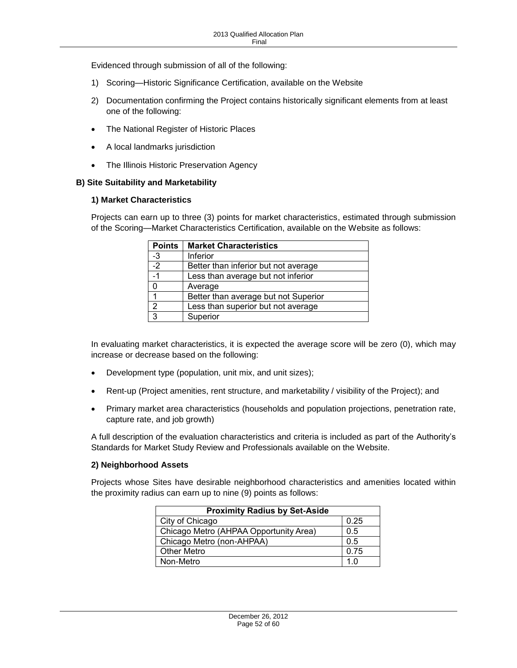Evidenced through submission of all of the following:

- 1) Scoring—Historic Significance Certification, available on the Website
- 2) Documentation confirming the Project contains historically significant elements from at least one of the following:
- The National Register of Historic Places
- A local landmarks jurisdiction
- The Illinois Historic Preservation Agency

### <span id="page-51-0"></span>**B) Site Suitability and Marketability**

### **1) Market Characteristics**

Projects can earn up to three (3) points for market characteristics, estimated through submission of the Scoring—Market Characteristics Certification, available on the Website as follows:

| <b>Points</b>  | <b>Market Characteristics</b>        |
|----------------|--------------------------------------|
| $-3$           | Inferior                             |
| $-2$           | Better than inferior but not average |
| $-1$           | Less than average but not inferior   |
| 0              | Average                              |
|                | Better than average but not Superior |
| $\overline{2}$ | Less than superior but not average   |
| $\overline{3}$ | Superior                             |

In evaluating market characteristics, it is expected the average score will be zero (0), which may increase or decrease based on the following:

- Development type (population, unit mix, and unit sizes);
- Rent-up (Project amenities, rent structure, and marketability / visibility of the Project); and
- Primary market area characteristics (households and population projections, penetration rate, capture rate, and job growth)

A full description of the evaluation characteristics and criteria is included as part of the Authority's Standards for Market Study Review and Professionals available on the Website.

### **2) Neighborhood Assets**

Projects whose Sites have desirable neighborhood characteristics and amenities located within the proximity radius can earn up to nine (9) points as follows:

| <b>Proximity Radius by Set-Aside</b>   |      |  |
|----------------------------------------|------|--|
| City of Chicago                        | 0.25 |  |
| Chicago Metro (AHPAA Opportunity Area) | 0.5  |  |
| Chicago Metro (non-AHPAA)              | 0.5  |  |
| <b>Other Metro</b>                     | 0.75 |  |
| Non-Metro                              | 1 በ  |  |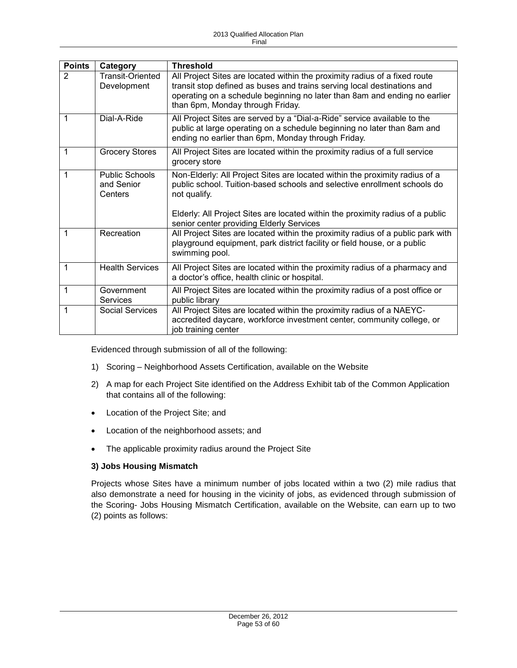| <b>Points</b>  | Category                                       | <b>Threshold</b>                                                                                                                                                                                                                                                                                      |
|----------------|------------------------------------------------|-------------------------------------------------------------------------------------------------------------------------------------------------------------------------------------------------------------------------------------------------------------------------------------------------------|
| $\overline{2}$ | Transit-Oriented<br>Development                | All Project Sites are located within the proximity radius of a fixed route<br>transit stop defined as buses and trains serving local destinations and<br>operating on a schedule beginning no later than 8am and ending no earlier<br>than 6pm, Monday through Friday.                                |
| 1              | Dial-A-Ride                                    | All Project Sites are served by a "Dial-a-Ride" service available to the<br>public at large operating on a schedule beginning no later than 8am and<br>ending no earlier than 6pm, Monday through Friday.                                                                                             |
| 1              | <b>Grocery Stores</b>                          | All Project Sites are located within the proximity radius of a full service<br>grocery store                                                                                                                                                                                                          |
| 1              | <b>Public Schools</b><br>and Senior<br>Centers | Non-Elderly: All Project Sites are located within the proximity radius of a<br>public school. Tuition-based schools and selective enrollment schools do<br>not qualify.<br>Elderly: All Project Sites are located within the proximity radius of a public<br>senior center providing Elderly Services |
| 1              | Recreation                                     | All Project Sites are located within the proximity radius of a public park with<br>playground equipment, park district facility or field house, or a public<br>swimming pool.                                                                                                                         |
| 1              | <b>Health Services</b>                         | All Project Sites are located within the proximity radius of a pharmacy and<br>a doctor's office, health clinic or hospital.                                                                                                                                                                          |
| 1              | Government<br><b>Services</b>                  | All Project Sites are located within the proximity radius of a post office or<br>public library                                                                                                                                                                                                       |
| 1              | Social Services                                | All Project Sites are located within the proximity radius of a NAEYC-<br>accredited daycare, workforce investment center, community college, or<br>job training center                                                                                                                                |

Evidenced through submission of all of the following:

- 1) Scoring Neighborhood Assets Certification, available on the Website
- 2) A map for each Project Site identified on the Address Exhibit tab of the Common Application that contains all of the following:
- Location of the Project Site; and
- Location of the neighborhood assets; and
- The applicable proximity radius around the Project Site

#### **3) Jobs Housing Mismatch**

Projects whose Sites have a minimum number of jobs located within a two (2) mile radius that also demonstrate a need for housing in the vicinity of jobs, as evidenced through submission of the Scoring- Jobs Housing Mismatch Certification, available on the Website, can earn up to two (2) points as follows: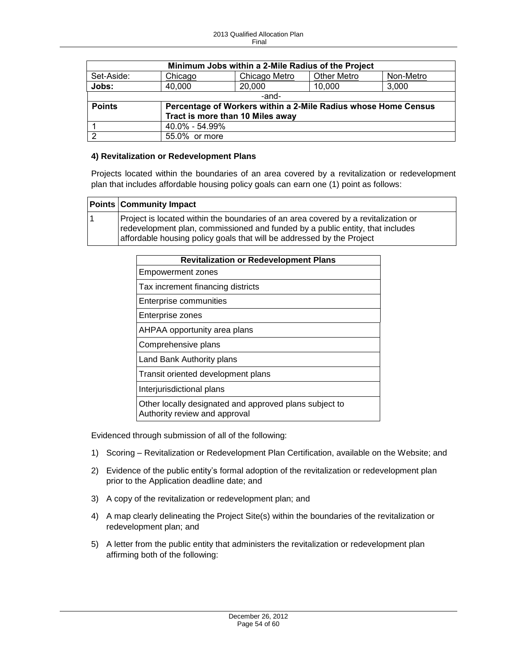| Minimum Jobs within a 2-Mile Radius of the Project |                |                                                                |                    |           |
|----------------------------------------------------|----------------|----------------------------------------------------------------|--------------------|-----------|
| Set-Aside:                                         | Chicago        | Chicago Metro                                                  | <b>Other Metro</b> | Non-Metro |
| Jobs:                                              | 40,000         | 20,000                                                         | 10,000             | 3,000     |
|                                                    | -and-          |                                                                |                    |           |
| <b>Points</b>                                      |                | Percentage of Workers within a 2-Mile Radius whose Home Census |                    |           |
| Tract is more than 10 Miles away                   |                |                                                                |                    |           |
|                                                    | 40.0% - 54.99% |                                                                |                    |           |
| ◠                                                  | 55.0% or more  |                                                                |                    |           |

### **4) Revitalization or Redevelopment Plans**

Projects located within the boundaries of an area covered by a revitalization or redevelopment plan that includes affordable housing policy goals can earn one (1) point as follows:

| <b>Points Community Impact</b>                                                                                                                                                                                                               |
|----------------------------------------------------------------------------------------------------------------------------------------------------------------------------------------------------------------------------------------------|
| Project is located within the boundaries of an area covered by a revitalization or<br>redevelopment plan, commissioned and funded by a public entity, that includes<br>affordable housing policy goals that will be addressed by the Project |

| <b>Revitalization or Redevelopment Plans</b>                                            |
|-----------------------------------------------------------------------------------------|
| <b>Empowerment zones</b>                                                                |
| Tax increment financing districts                                                       |
| Enterprise communities                                                                  |
| Enterprise zones                                                                        |
| AHPAA opportunity area plans                                                            |
| Comprehensive plans                                                                     |
| Land Bank Authority plans                                                               |
| Transit oriented development plans                                                      |
| Interjurisdictional plans                                                               |
| Other locally designated and approved plans subject to<br>Authority review and approval |

Evidenced through submission of all of the following:

- 1) Scoring Revitalization or Redevelopment Plan Certification, available on the Website; and
- 2) Evidence of the public entity's formal adoption of the revitalization or redevelopment plan prior to the Application deadline date; and
- 3) A copy of the revitalization or redevelopment plan; and
- 4) A map clearly delineating the Project Site(s) within the boundaries of the revitalization or redevelopment plan; and
- 5) A letter from the public entity that administers the revitalization or redevelopment plan affirming both of the following: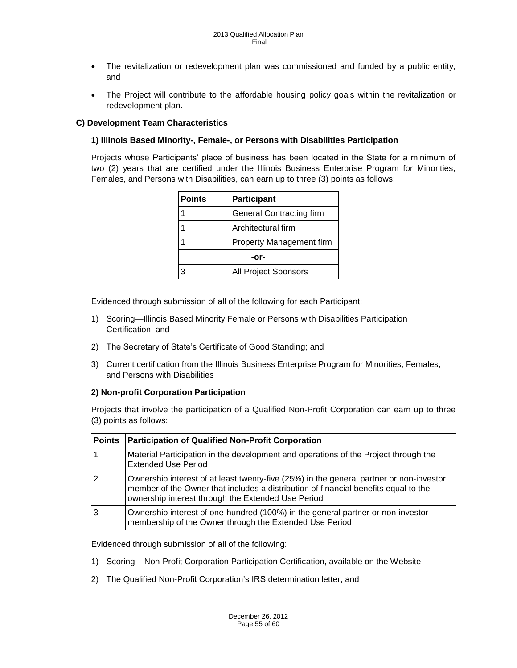- The revitalization or redevelopment plan was commissioned and funded by a public entity; and
- The Project will contribute to the affordable housing policy goals within the revitalization or redevelopment plan.

# <span id="page-54-0"></span>**C) Development Team Characteristics**

### **1) Illinois Based Minority-, Female-, or Persons with Disabilities Participation**

Projects whose Participants' place of business has been located in the State for a minimum of two (2) years that are certified under the Illinois Business Enterprise Program for Minorities, Females, and Persons with Disabilities, can earn up to three (3) points as follows:

| <b>Points</b> | <b>Participant</b>              |  |
|---------------|---------------------------------|--|
|               | <b>General Contracting firm</b> |  |
|               | Architectural firm              |  |
|               | <b>Property Management firm</b> |  |
| -or-          |                                 |  |
|               | <b>All Project Sponsors</b>     |  |

Evidenced through submission of all of the following for each Participant:

- 1) Scoring—Illinois Based Minority Female or Persons with Disabilities Participation Certification; and
- 2) The Secretary of State's Certificate of Good Standing; and
- 3) Current certification from the Illinois Business Enterprise Program for Minorities, Females, and Persons with Disabilities

### **2) Non-profit Corporation Participation**

Projects that involve the participation of a Qualified Non-Profit Corporation can earn up to three (3) points as follows:

| <b>Points</b> | <b>Participation of Qualified Non-Profit Corporation</b>                                                                                                                                                                             |
|---------------|--------------------------------------------------------------------------------------------------------------------------------------------------------------------------------------------------------------------------------------|
|               | Material Participation in the development and operations of the Project through the<br><b>Extended Use Period</b>                                                                                                                    |
| 2             | Ownership interest of at least twenty-five (25%) in the general partner or non-investor<br>member of the Owner that includes a distribution of financial benefits equal to the<br>ownership interest through the Extended Use Period |
|               | Ownership interest of one-hundred (100%) in the general partner or non-investor<br>membership of the Owner through the Extended Use Period                                                                                           |

Evidenced through submission of all of the following:

- 1) Scoring Non-Profit Corporation Participation Certification, available on the Website
- 2) The Qualified Non-Profit Corporation's IRS determination letter; and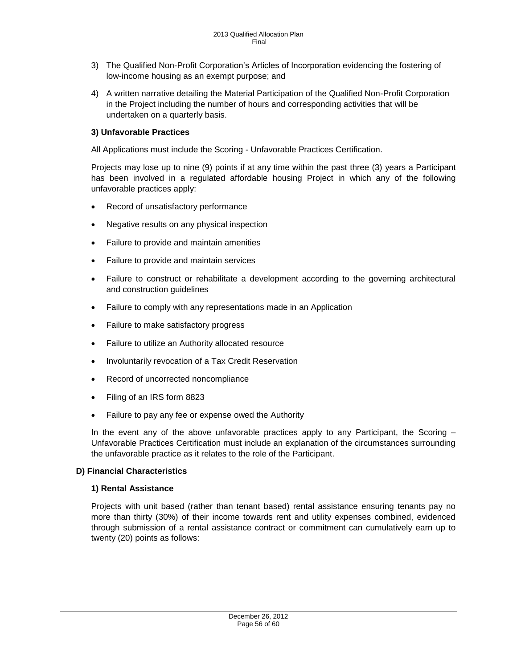- 3) The Qualified Non-Profit Corporation's Articles of Incorporation evidencing the fostering of low-income housing as an exempt purpose; and
- 4) A written narrative detailing the Material Participation of the Qualified Non-Profit Corporation in the Project including the number of hours and corresponding activities that will be undertaken on a quarterly basis.

# **3) Unfavorable Practices**

All Applications must include the Scoring - Unfavorable Practices Certification.

Projects may lose up to nine (9) points if at any time within the past three (3) years a Participant has been involved in a regulated affordable housing Project in which any of the following unfavorable practices apply:

- Record of unsatisfactory performance
- Negative results on any physical inspection
- Failure to provide and maintain amenities
- Failure to provide and maintain services
- Failure to construct or rehabilitate a development according to the governing architectural and construction guidelines
- Failure to comply with any representations made in an Application
- Failure to make satisfactory progress
- Failure to utilize an Authority allocated resource
- Involuntarily revocation of a Tax Credit Reservation
- Record of uncorrected noncompliance
- Filing of an IRS form 8823
- Failure to pay any fee or expense owed the Authority

In the event any of the above unfavorable practices apply to any Participant, the Scoring – Unfavorable Practices Certification must include an explanation of the circumstances surrounding the unfavorable practice as it relates to the role of the Participant.

### <span id="page-55-0"></span>**D) Financial Characteristics**

### **1) Rental Assistance**

Projects with unit based (rather than tenant based) rental assistance ensuring tenants pay no more than thirty (30%) of their income towards rent and utility expenses combined, evidenced through submission of a rental assistance contract or commitment can cumulatively earn up to twenty (20) points as follows: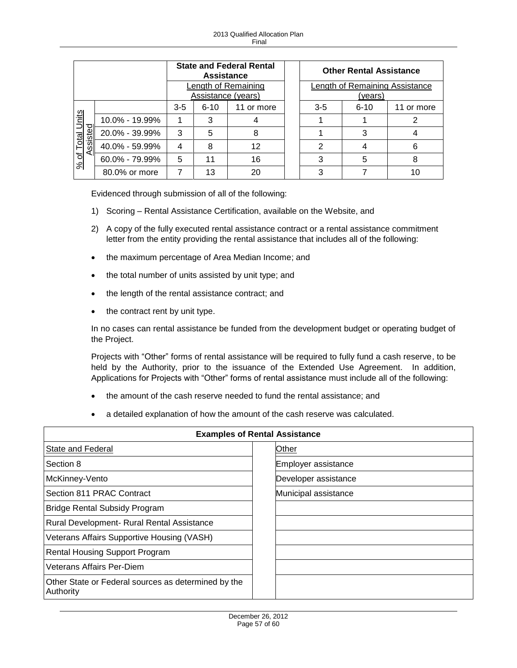|                             |                |                                           | <b>Assistance</b> | <b>State and Federal Rental</b> |                                           | <b>Other Rental Assistance</b> |            |
|-----------------------------|----------------|-------------------------------------------|-------------------|---------------------------------|-------------------------------------------|--------------------------------|------------|
|                             |                | Length of Remaining<br>Assistance (years) |                   |                                 | Length of Remaining Assistance<br>(vears) |                                |            |
|                             |                | $3 - 5$                                   | $6 - 10$          | 11 or more                      | $3-5$                                     | $6 - 10$                       | 11 or more |
| $n$ its                     | 10.0% - 19.99% |                                           | 3                 |                                 |                                           |                                |            |
| <u>sted</u><br><b>Total</b> | 20.0% - 39.99% | 3                                         | 5                 | 8                               |                                           | 3                              |            |
| အ                           | 40.0% - 59.99% | 4                                         | 8                 | 12                              | $\overline{2}$                            |                                |            |
| 'ত<br>వ్                    | 60.0% - 79.99% | 5                                         | 11                | 16                              | 3                                         | 5                              |            |
|                             | 80.0% or more  |                                           | 13                | 20                              | 3                                         |                                |            |

Evidenced through submission of all of the following:

- 1) Scoring Rental Assistance Certification, available on the Website, and
- 2) A copy of the fully executed rental assistance contract or a rental assistance commitment letter from the entity providing the rental assistance that includes all of the following:
- the maximum percentage of Area Median Income; and
- the total number of units assisted by unit type; and
- the length of the rental assistance contract; and
- $\bullet$  the contract rent by unit type.

In no cases can rental assistance be funded from the development budget or operating budget of the Project.

Projects with "Other" forms of rental assistance will be required to fully fund a cash reserve, to be held by the Authority, prior to the issuance of the Extended Use Agreement. In addition, Applications for Projects with "Other" forms of rental assistance must include all of the following:

- the amount of the cash reserve needed to fund the rental assistance; and
- a detailed explanation of how the amount of the cash reserve was calculated.

|                                                                  | <b>Examples of Rental Assistance</b> |
|------------------------------------------------------------------|--------------------------------------|
| State and Federal                                                | Other                                |
| Section 8                                                        | Employer assistance                  |
| McKinney-Vento                                                   | Developer assistance                 |
| Section 811 PRAC Contract                                        | Municipal assistance                 |
| <b>Bridge Rental Subsidy Program</b>                             |                                      |
| Rural Development- Rural Rental Assistance                       |                                      |
| Veterans Affairs Supportive Housing (VASH)                       |                                      |
| <b>Rental Housing Support Program</b>                            |                                      |
| Veterans Affairs Per-Diem                                        |                                      |
| Other State or Federal sources as determined by the<br>Authority |                                      |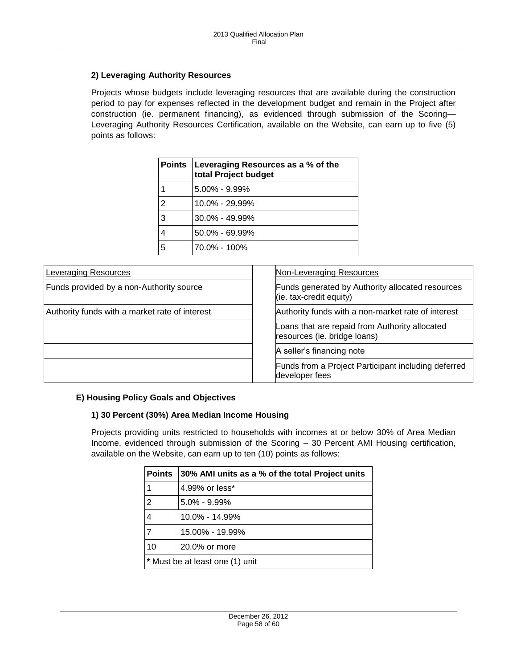### **2) Leveraging Authority Resources**

Projects whose budgets include leveraging resources that are available during the construction period to pay for expenses reflected in the development budget and remain in the Project after construction (ie. permanent financing), as evidenced through submission of the Scoring— Leveraging Authority Resources Certification, available on the Website, can earn up to five (5) points as follows:

|   | Points   Leveraging Resources as a % of the<br>total Project budget |
|---|---------------------------------------------------------------------|
|   | $5.00\% - 9.99\%$                                                   |
| 2 | $10.0\% - 29.99\%$                                                  |
| 3 | $30.0\% - 49.99\%$                                                  |
| 4 | $50.0\% - 69.99\%$                                                  |
| 5 | 70.0% - 100%                                                        |

| <b>Leveraging Resources</b>                    | Non-Leveraging Resources                                                       |
|------------------------------------------------|--------------------------------------------------------------------------------|
| Funds provided by a non-Authority source       | Funds generated by Authority allocated resources<br>$(i.e. tax-credit equity)$ |
| Authority funds with a market rate of interest | Authority funds with a non-market rate of interest                             |
|                                                | Loans that are repaid from Authority allocated<br>resources (ie. bridge loans) |
|                                                | A seller's financing note                                                      |
|                                                | Funds from a Project Participant including deferred<br>developer fees          |

# <span id="page-57-0"></span>**E) Housing Policy Goals and Objectives**

### **1) 30 Percent (30%) Area Median Income Housing**

Projects providing units restricted to households with incomes at or below 30% of Area Median Income, evidenced through submission of the Scoring – 30 Percent AMI Housing certification, available on the Website, can earn up to ten (10) points as follows:

| <b>Points</b>                   | 30% AMI units as a % of the total Project units |
|---------------------------------|-------------------------------------------------|
| 1                               | 4.99% or less*                                  |
| $\overline{2}$                  | $5.0\% - 9.99\%$                                |
| 4                               | $10.0\% - 14.99\%$                              |
| 7                               | 15.00% - 19.99%                                 |
| 10                              | 20.0% or more                                   |
| * Must be at least one (1) unit |                                                 |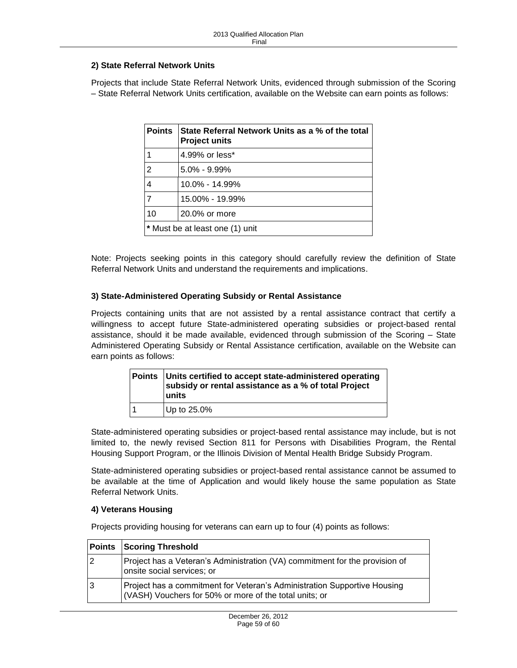### **2) State Referral Network Units**

Projects that include State Referral Network Units, evidenced through submission of the Scoring – State Referral Network Units certification, available on the Website can earn points as follows:

| <b>Points</b>                   | State Referral Network Units as a % of the total<br><b>Project units</b> |
|---------------------------------|--------------------------------------------------------------------------|
|                                 | 4.99% or less*                                                           |
| $\overline{2}$                  | $5.0\% - 9.99\%$                                                         |
| $\overline{4}$                  | 10.0% - 14.99%                                                           |
| $\overline{7}$                  | 15.00% - 19.99%                                                          |
| 10                              | 20.0% or more                                                            |
| * Must be at least one (1) unit |                                                                          |

Note: Projects seeking points in this category should carefully review the definition of State Referral Network Units and understand the requirements and implications.

### **3) State-Administered Operating Subsidy or Rental Assistance**

Projects containing units that are not assisted by a rental assistance contract that certify a willingness to accept future State-administered operating subsidies or project-based rental assistance, should it be made available, evidenced through submission of the Scoring – State Administered Operating Subsidy or Rental Assistance certification, available on the Website can earn points as follows:

| Points Units certified to accept state-administered operating<br>subsidy or rental assistance as a % of total Project<br>units |
|--------------------------------------------------------------------------------------------------------------------------------|
| Up to 25.0%                                                                                                                    |

State-administered operating subsidies or project-based rental assistance may include, but is not limited to, the newly revised Section 811 for Persons with Disabilities Program, the Rental Housing Support Program, or the Illinois Division of Mental Health Bridge Subsidy Program.

State-administered operating subsidies or project-based rental assistance cannot be assumed to be available at the time of Application and would likely house the same population as State Referral Network Units.

### **4) Veterans Housing**

Projects providing housing for veterans can earn up to four (4) points as follows:

|   | <b>Points Scoring Threshold</b>                                                                                                    |
|---|------------------------------------------------------------------------------------------------------------------------------------|
| 2 | Project has a Veteran's Administration (VA) commitment for the provision of<br>onsite social services; or                          |
| 3 | Project has a commitment for Veteran's Administration Supportive Housing<br>(VASH) Vouchers for 50% or more of the total units; or |